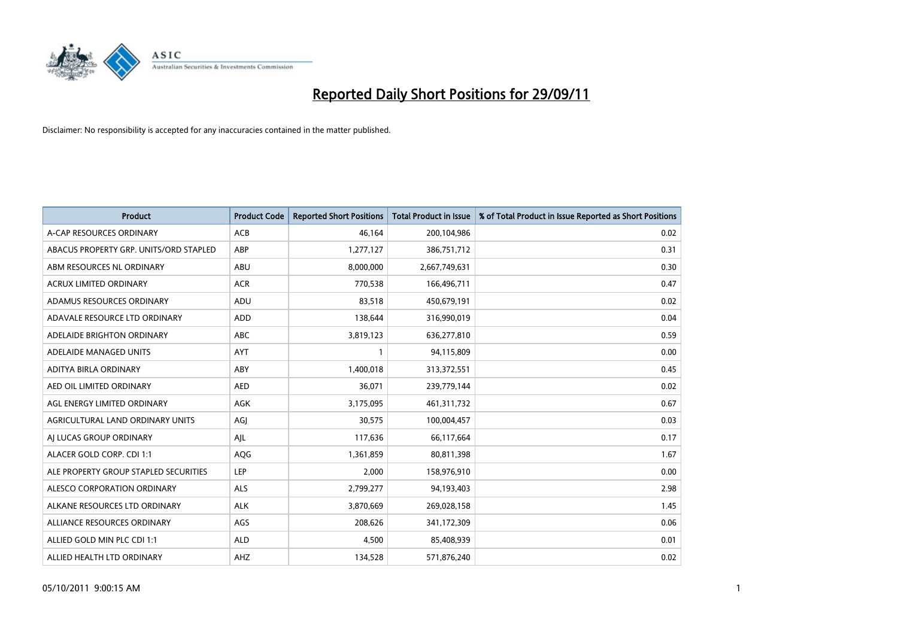

| <b>Product</b>                         | <b>Product Code</b> | <b>Reported Short Positions</b> | <b>Total Product in Issue</b> | % of Total Product in Issue Reported as Short Positions |
|----------------------------------------|---------------------|---------------------------------|-------------------------------|---------------------------------------------------------|
| A-CAP RESOURCES ORDINARY               | <b>ACB</b>          | 46,164                          | 200,104,986                   | 0.02                                                    |
| ABACUS PROPERTY GRP. UNITS/ORD STAPLED | ABP                 | 1,277,127                       | 386,751,712                   | 0.31                                                    |
| ABM RESOURCES NL ORDINARY              | <b>ABU</b>          | 8,000,000                       | 2,667,749,631                 | 0.30                                                    |
| ACRUX LIMITED ORDINARY                 | <b>ACR</b>          | 770,538                         | 166,496,711                   | 0.47                                                    |
| ADAMUS RESOURCES ORDINARY              | ADU                 | 83,518                          | 450,679,191                   | 0.02                                                    |
| ADAVALE RESOURCE LTD ORDINARY          | <b>ADD</b>          | 138,644                         | 316,990,019                   | 0.04                                                    |
| ADELAIDE BRIGHTON ORDINARY             | <b>ABC</b>          | 3,819,123                       | 636,277,810                   | 0.59                                                    |
| ADELAIDE MANAGED UNITS                 | <b>AYT</b>          |                                 | 94,115,809                    | 0.00                                                    |
| ADITYA BIRLA ORDINARY                  | ABY                 | 1,400,018                       | 313,372,551                   | 0.45                                                    |
| AED OIL LIMITED ORDINARY               | <b>AED</b>          | 36,071                          | 239,779,144                   | 0.02                                                    |
| AGL ENERGY LIMITED ORDINARY            | <b>AGK</b>          | 3,175,095                       | 461,311,732                   | 0.67                                                    |
| AGRICULTURAL LAND ORDINARY UNITS       | AGJ                 | 30,575                          | 100,004,457                   | 0.03                                                    |
| AI LUCAS GROUP ORDINARY                | AIL                 | 117,636                         | 66,117,664                    | 0.17                                                    |
| ALACER GOLD CORP. CDI 1:1              | <b>AQG</b>          | 1,361,859                       | 80,811,398                    | 1.67                                                    |
| ALE PROPERTY GROUP STAPLED SECURITIES  | LEP                 | 2,000                           | 158,976,910                   | 0.00                                                    |
| ALESCO CORPORATION ORDINARY            | ALS                 | 2,799,277                       | 94,193,403                    | 2.98                                                    |
| ALKANE RESOURCES LTD ORDINARY          | <b>ALK</b>          | 3,870,669                       | 269,028,158                   | 1.45                                                    |
| ALLIANCE RESOURCES ORDINARY            | AGS                 | 208,626                         | 341,172,309                   | 0.06                                                    |
| ALLIED GOLD MIN PLC CDI 1:1            | <b>ALD</b>          | 4,500                           | 85,408,939                    | 0.01                                                    |
| ALLIED HEALTH LTD ORDINARY             | AHZ                 | 134,528                         | 571,876,240                   | 0.02                                                    |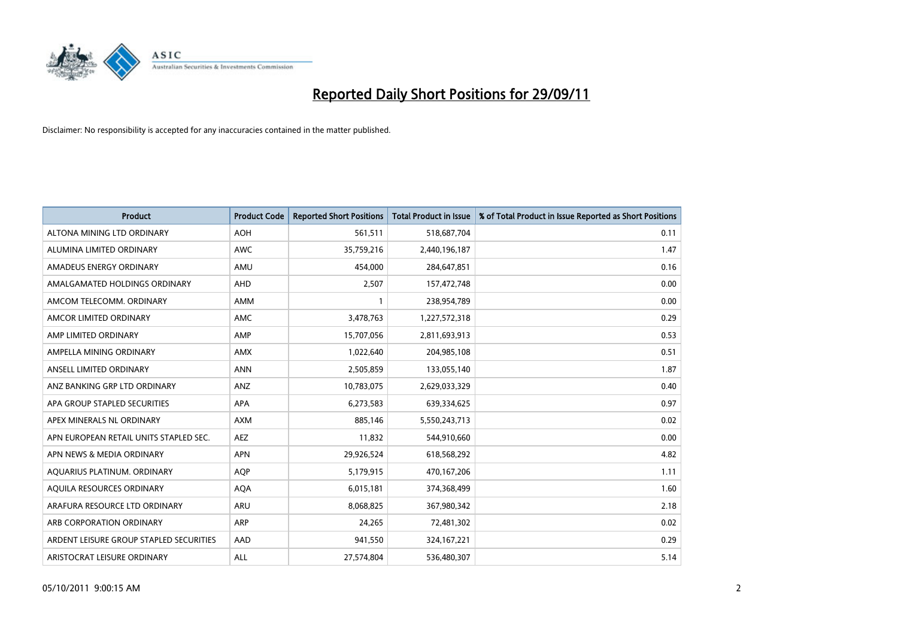

| <b>Product</b>                          | <b>Product Code</b> | <b>Reported Short Positions</b> | <b>Total Product in Issue</b> | % of Total Product in Issue Reported as Short Positions |
|-----------------------------------------|---------------------|---------------------------------|-------------------------------|---------------------------------------------------------|
| ALTONA MINING LTD ORDINARY              | <b>AOH</b>          | 561,511                         | 518,687,704                   | 0.11                                                    |
| ALUMINA LIMITED ORDINARY                | <b>AWC</b>          | 35,759,216                      | 2,440,196,187                 | 1.47                                                    |
| AMADEUS ENERGY ORDINARY                 | AMU                 | 454,000                         | 284,647,851                   | 0.16                                                    |
| AMALGAMATED HOLDINGS ORDINARY           | AHD                 | 2,507                           | 157,472,748                   | 0.00                                                    |
| AMCOM TELECOMM, ORDINARY                | <b>AMM</b>          |                                 | 238,954,789                   | 0.00                                                    |
| AMCOR LIMITED ORDINARY                  | <b>AMC</b>          | 3,478,763                       | 1,227,572,318                 | 0.29                                                    |
| AMP LIMITED ORDINARY                    | AMP                 | 15,707,056                      | 2,811,693,913                 | 0.53                                                    |
| AMPELLA MINING ORDINARY                 | AMX                 | 1,022,640                       | 204,985,108                   | 0.51                                                    |
| ANSELL LIMITED ORDINARY                 | <b>ANN</b>          | 2,505,859                       | 133,055,140                   | 1.87                                                    |
| ANZ BANKING GRP LTD ORDINARY            | ANZ                 | 10,783,075                      | 2,629,033,329                 | 0.40                                                    |
| APA GROUP STAPLED SECURITIES            | <b>APA</b>          | 6,273,583                       | 639,334,625                   | 0.97                                                    |
| APEX MINERALS NL ORDINARY               | <b>AXM</b>          | 885.146                         | 5,550,243,713                 | 0.02                                                    |
| APN EUROPEAN RETAIL UNITS STAPLED SEC.  | <b>AEZ</b>          | 11,832                          | 544,910,660                   | 0.00                                                    |
| APN NEWS & MEDIA ORDINARY               | <b>APN</b>          | 29,926,524                      | 618,568,292                   | 4.82                                                    |
| AQUARIUS PLATINUM. ORDINARY             | <b>AOP</b>          | 5,179,915                       | 470,167,206                   | 1.11                                                    |
| AQUILA RESOURCES ORDINARY               | <b>AQA</b>          | 6,015,181                       | 374,368,499                   | 1.60                                                    |
| ARAFURA RESOURCE LTD ORDINARY           | <b>ARU</b>          | 8,068,825                       | 367,980,342                   | 2.18                                                    |
| ARB CORPORATION ORDINARY                | <b>ARP</b>          | 24,265                          | 72,481,302                    | 0.02                                                    |
| ARDENT LEISURE GROUP STAPLED SECURITIES | AAD                 | 941,550                         | 324, 167, 221                 | 0.29                                                    |
| ARISTOCRAT LEISURE ORDINARY             | <b>ALL</b>          | 27,574,804                      | 536,480,307                   | 5.14                                                    |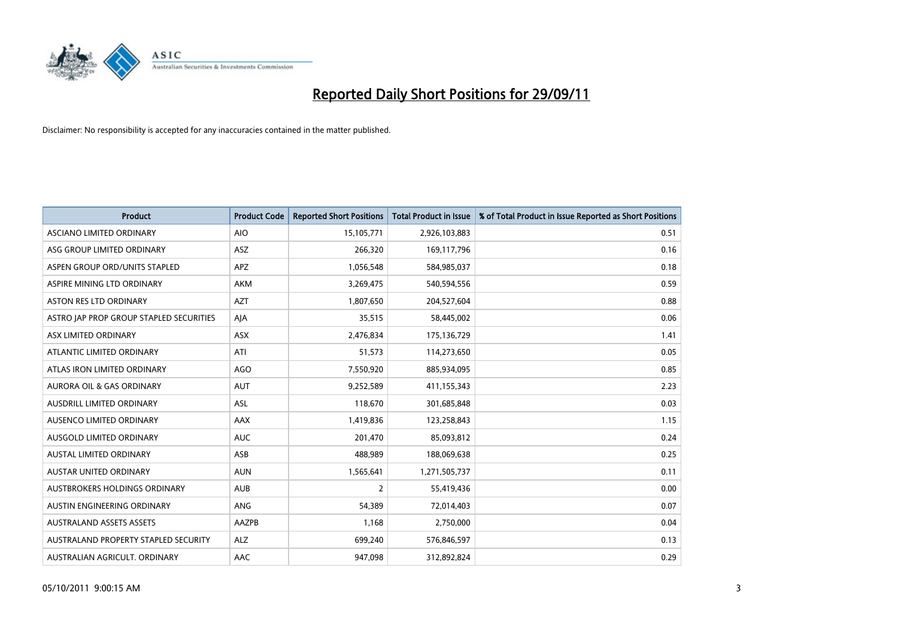

| <b>Product</b>                          | <b>Product Code</b> | <b>Reported Short Positions</b> | <b>Total Product in Issue</b> | % of Total Product in Issue Reported as Short Positions |
|-----------------------------------------|---------------------|---------------------------------|-------------------------------|---------------------------------------------------------|
| <b>ASCIANO LIMITED ORDINARY</b>         | <b>AIO</b>          | 15,105,771                      | 2,926,103,883                 | 0.51                                                    |
| ASG GROUP LIMITED ORDINARY              | <b>ASZ</b>          | 266,320                         | 169,117,796                   | 0.16                                                    |
| ASPEN GROUP ORD/UNITS STAPLED           | APZ                 | 1,056,548                       | 584,985,037                   | 0.18                                                    |
| ASPIRE MINING LTD ORDINARY              | <b>AKM</b>          | 3,269,475                       | 540,594,556                   | 0.59                                                    |
| <b>ASTON RES LTD ORDINARY</b>           | <b>AZT</b>          | 1,807,650                       | 204,527,604                   | 0.88                                                    |
| ASTRO JAP PROP GROUP STAPLED SECURITIES | AIA                 | 35,515                          | 58,445,002                    | 0.06                                                    |
| ASX LIMITED ORDINARY                    | <b>ASX</b>          | 2,476,834                       | 175,136,729                   | 1.41                                                    |
| ATLANTIC LIMITED ORDINARY               | ATI                 | 51,573                          | 114,273,650                   | 0.05                                                    |
| ATLAS IRON LIMITED ORDINARY             | <b>AGO</b>          | 7,550,920                       | 885,934,095                   | 0.85                                                    |
| <b>AURORA OIL &amp; GAS ORDINARY</b>    | <b>AUT</b>          | 9,252,589                       | 411,155,343                   | 2.23                                                    |
| AUSDRILL LIMITED ORDINARY               | ASL                 | 118,670                         | 301,685,848                   | 0.03                                                    |
| <b>AUSENCO LIMITED ORDINARY</b>         | AAX                 | 1,419,836                       | 123,258,843                   | 1.15                                                    |
| AUSGOLD LIMITED ORDINARY                | <b>AUC</b>          | 201,470                         | 85,093,812                    | 0.24                                                    |
| <b>AUSTAL LIMITED ORDINARY</b>          | ASB                 | 488,989                         | 188,069,638                   | 0.25                                                    |
| <b>AUSTAR UNITED ORDINARY</b>           | <b>AUN</b>          | 1,565,641                       | 1,271,505,737                 | 0.11                                                    |
| AUSTBROKERS HOLDINGS ORDINARY           | <b>AUB</b>          | 2                               | 55,419,436                    | 0.00                                                    |
| AUSTIN ENGINEERING ORDINARY             | ANG                 | 54,389                          | 72,014,403                    | 0.07                                                    |
| <b>AUSTRALAND ASSETS ASSETS</b>         | AAZPB               | 1,168                           | 2,750,000                     | 0.04                                                    |
| AUSTRALAND PROPERTY STAPLED SECURITY    | <b>ALZ</b>          | 699,240                         | 576,846,597                   | 0.13                                                    |
| AUSTRALIAN AGRICULT. ORDINARY           | AAC                 | 947,098                         | 312,892,824                   | 0.29                                                    |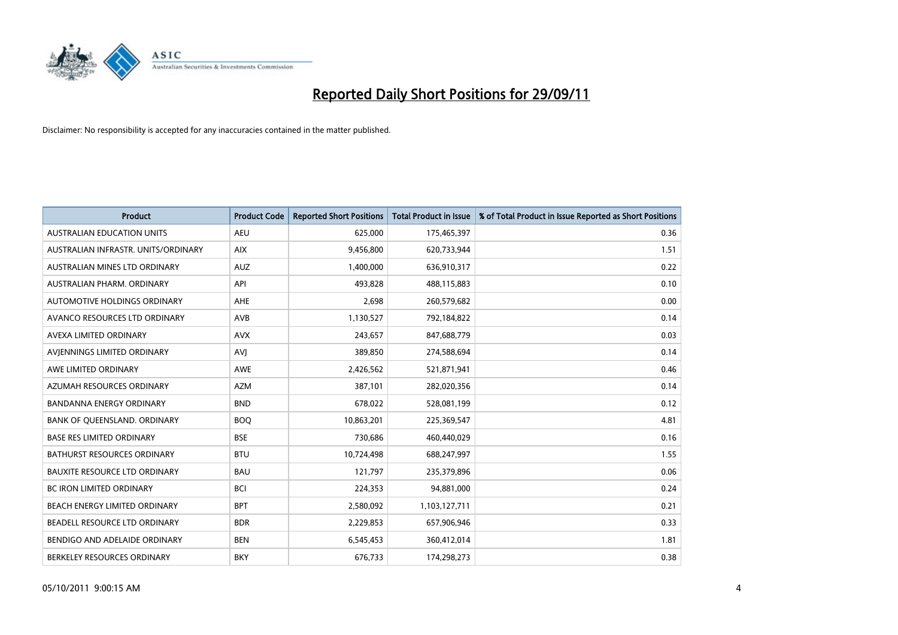

| <b>Product</b>                       | <b>Product Code</b> | <b>Reported Short Positions</b> | <b>Total Product in Issue</b> | % of Total Product in Issue Reported as Short Positions |
|--------------------------------------|---------------------|---------------------------------|-------------------------------|---------------------------------------------------------|
| <b>AUSTRALIAN EDUCATION UNITS</b>    | <b>AEU</b>          | 625,000                         | 175,465,397                   | 0.36                                                    |
| AUSTRALIAN INFRASTR. UNITS/ORDINARY  | <b>AIX</b>          | 9,456,800                       | 620,733,944                   | 1.51                                                    |
| <b>AUSTRALIAN MINES LTD ORDINARY</b> | <b>AUZ</b>          | 1,400,000                       | 636,910,317                   | 0.22                                                    |
| AUSTRALIAN PHARM. ORDINARY           | API                 | 493,828                         | 488,115,883                   | 0.10                                                    |
| <b>AUTOMOTIVE HOLDINGS ORDINARY</b>  | AHE                 | 2,698                           | 260,579,682                   | 0.00                                                    |
| AVANCO RESOURCES LTD ORDINARY        | AVB                 | 1,130,527                       | 792,184,822                   | 0.14                                                    |
| AVEXA LIMITED ORDINARY               | <b>AVX</b>          | 243,657                         | 847,688,779                   | 0.03                                                    |
| AVIENNINGS LIMITED ORDINARY          | <b>AVI</b>          | 389,850                         | 274,588,694                   | 0.14                                                    |
| AWE LIMITED ORDINARY                 | <b>AWE</b>          | 2,426,562                       | 521,871,941                   | 0.46                                                    |
| AZUMAH RESOURCES ORDINARY            | <b>AZM</b>          | 387,101                         | 282,020,356                   | 0.14                                                    |
| BANDANNA ENERGY ORDINARY             | <b>BND</b>          | 678,022                         | 528,081,199                   | 0.12                                                    |
| BANK OF QUEENSLAND. ORDINARY         | <b>BOO</b>          | 10,863,201                      | 225,369,547                   | 4.81                                                    |
| <b>BASE RES LIMITED ORDINARY</b>     | <b>BSE</b>          | 730,686                         | 460,440,029                   | 0.16                                                    |
| BATHURST RESOURCES ORDINARY          | <b>BTU</b>          | 10,724,498                      | 688,247,997                   | 1.55                                                    |
| <b>BAUXITE RESOURCE LTD ORDINARY</b> | <b>BAU</b>          | 121,797                         | 235,379,896                   | 0.06                                                    |
| BC IRON LIMITED ORDINARY             | <b>BCI</b>          | 224,353                         | 94,881,000                    | 0.24                                                    |
| BEACH ENERGY LIMITED ORDINARY        | <b>BPT</b>          | 2,580,092                       | 1,103,127,711                 | 0.21                                                    |
| BEADELL RESOURCE LTD ORDINARY        | <b>BDR</b>          | 2,229,853                       | 657,906,946                   | 0.33                                                    |
| BENDIGO AND ADELAIDE ORDINARY        | <b>BEN</b>          | 6,545,453                       | 360,412,014                   | 1.81                                                    |
| BERKELEY RESOURCES ORDINARY          | <b>BKY</b>          | 676,733                         | 174,298,273                   | 0.38                                                    |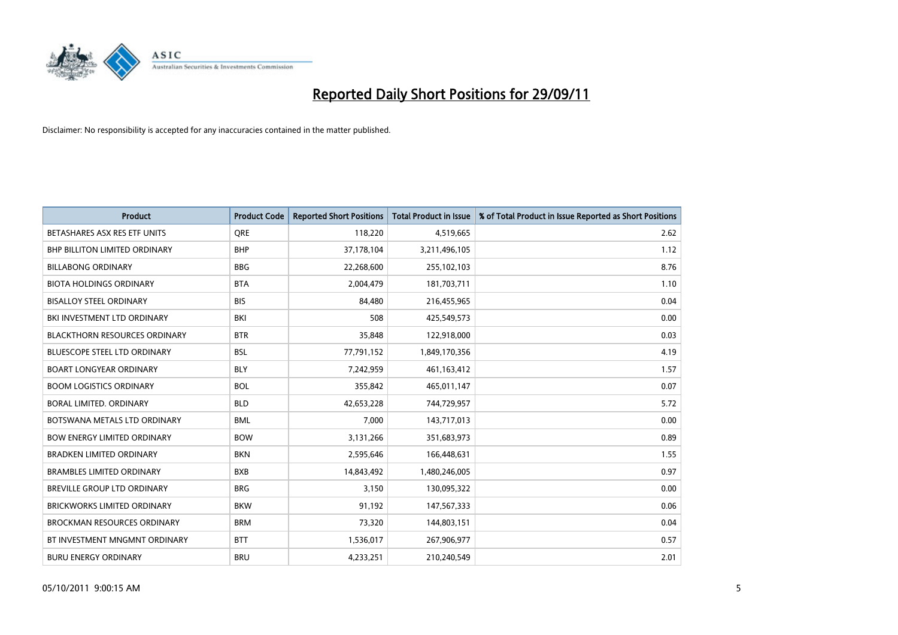

| <b>Product</b>                       | <b>Product Code</b> | <b>Reported Short Positions</b> | <b>Total Product in Issue</b> | % of Total Product in Issue Reported as Short Positions |
|--------------------------------------|---------------------|---------------------------------|-------------------------------|---------------------------------------------------------|
| BETASHARES ASX RES ETF UNITS         | <b>ORE</b>          | 118,220                         | 4,519,665                     | 2.62                                                    |
| <b>BHP BILLITON LIMITED ORDINARY</b> | <b>BHP</b>          | 37,178,104                      | 3,211,496,105                 | 1.12                                                    |
| <b>BILLABONG ORDINARY</b>            | <b>BBG</b>          | 22,268,600                      | 255,102,103                   | 8.76                                                    |
| <b>BIOTA HOLDINGS ORDINARY</b>       | <b>BTA</b>          | 2,004,479                       | 181,703,711                   | 1.10                                                    |
| <b>BISALLOY STEEL ORDINARY</b>       | <b>BIS</b>          | 84,480                          | 216,455,965                   | 0.04                                                    |
| BKI INVESTMENT LTD ORDINARY          | BKI                 | 508                             | 425,549,573                   | 0.00                                                    |
| <b>BLACKTHORN RESOURCES ORDINARY</b> | <b>BTR</b>          | 35,848                          | 122,918,000                   | 0.03                                                    |
| <b>BLUESCOPE STEEL LTD ORDINARY</b>  | <b>BSL</b>          | 77,791,152                      | 1,849,170,356                 | 4.19                                                    |
| <b>BOART LONGYEAR ORDINARY</b>       | <b>BLY</b>          | 7,242,959                       | 461, 163, 412                 | 1.57                                                    |
| <b>BOOM LOGISTICS ORDINARY</b>       | <b>BOL</b>          | 355,842                         | 465,011,147                   | 0.07                                                    |
| BORAL LIMITED, ORDINARY              | <b>BLD</b>          | 42,653,228                      | 744,729,957                   | 5.72                                                    |
| BOTSWANA METALS LTD ORDINARY         | <b>BML</b>          | 7,000                           | 143,717,013                   | 0.00                                                    |
| <b>BOW ENERGY LIMITED ORDINARY</b>   | <b>BOW</b>          | 3,131,266                       | 351,683,973                   | 0.89                                                    |
| <b>BRADKEN LIMITED ORDINARY</b>      | <b>BKN</b>          | 2,595,646                       | 166,448,631                   | 1.55                                                    |
| <b>BRAMBLES LIMITED ORDINARY</b>     | <b>BXB</b>          | 14,843,492                      | 1,480,246,005                 | 0.97                                                    |
| <b>BREVILLE GROUP LTD ORDINARY</b>   | <b>BRG</b>          | 3,150                           | 130,095,322                   | 0.00                                                    |
| <b>BRICKWORKS LIMITED ORDINARY</b>   | <b>BKW</b>          | 91,192                          | 147,567,333                   | 0.06                                                    |
| <b>BROCKMAN RESOURCES ORDINARY</b>   | <b>BRM</b>          | 73,320                          | 144,803,151                   | 0.04                                                    |
| BT INVESTMENT MNGMNT ORDINARY        | <b>BTT</b>          | 1,536,017                       | 267,906,977                   | 0.57                                                    |
| <b>BURU ENERGY ORDINARY</b>          | <b>BRU</b>          | 4,233,251                       | 210,240,549                   | 2.01                                                    |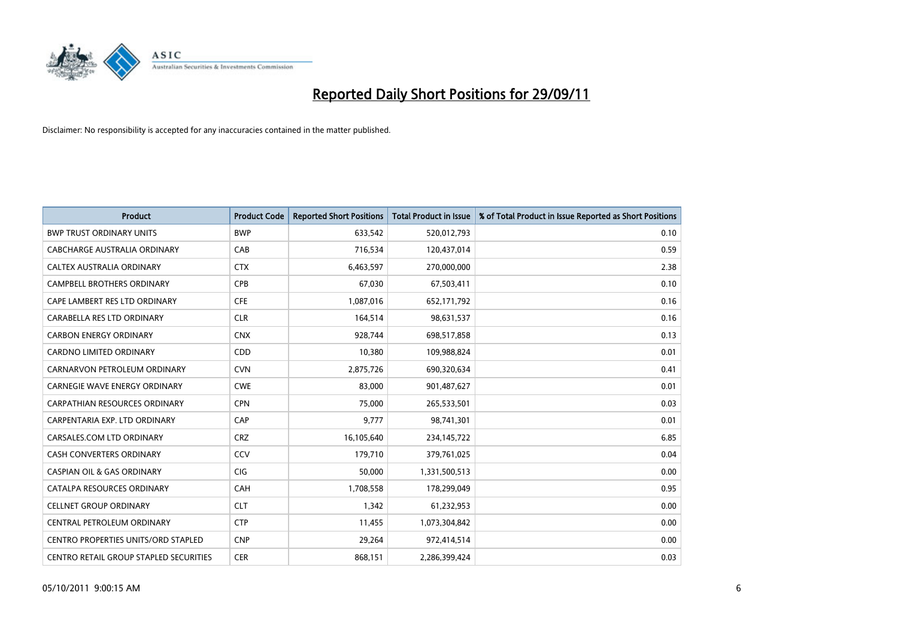

| <b>Product</b>                                | <b>Product Code</b> | <b>Reported Short Positions</b> | <b>Total Product in Issue</b> | % of Total Product in Issue Reported as Short Positions |
|-----------------------------------------------|---------------------|---------------------------------|-------------------------------|---------------------------------------------------------|
| <b>BWP TRUST ORDINARY UNITS</b>               | <b>BWP</b>          | 633,542                         | 520,012,793                   | 0.10                                                    |
| CABCHARGE AUSTRALIA ORDINARY                  | CAB                 | 716,534                         | 120,437,014                   | 0.59                                                    |
| <b>CALTEX AUSTRALIA ORDINARY</b>              | <b>CTX</b>          | 6,463,597                       | 270,000,000                   | 2.38                                                    |
| CAMPBELL BROTHERS ORDINARY                    | <b>CPB</b>          | 67,030                          | 67,503,411                    | 0.10                                                    |
| CAPE LAMBERT RES LTD ORDINARY                 | <b>CFE</b>          | 1,087,016                       | 652,171,792                   | 0.16                                                    |
| CARABELLA RES LTD ORDINARY                    | <b>CLR</b>          | 164,514                         | 98,631,537                    | 0.16                                                    |
| <b>CARBON ENERGY ORDINARY</b>                 | <b>CNX</b>          | 928.744                         | 698,517,858                   | 0.13                                                    |
| <b>CARDNO LIMITED ORDINARY</b>                | CDD                 | 10,380                          | 109,988,824                   | 0.01                                                    |
| CARNARVON PETROLEUM ORDINARY                  | <b>CVN</b>          | 2,875,726                       | 690,320,634                   | 0.41                                                    |
| <b>CARNEGIE WAVE ENERGY ORDINARY</b>          | <b>CWE</b>          | 83,000                          | 901,487,627                   | 0.01                                                    |
| CARPATHIAN RESOURCES ORDINARY                 | <b>CPN</b>          | 75,000                          | 265,533,501                   | 0.03                                                    |
| CARPENTARIA EXP. LTD ORDINARY                 | CAP                 | 9.777                           | 98,741,301                    | 0.01                                                    |
| CARSALES.COM LTD ORDINARY                     | <b>CRZ</b>          | 16,105,640                      | 234,145,722                   | 6.85                                                    |
| <b>CASH CONVERTERS ORDINARY</b>               | CCV                 | 179,710                         | 379,761,025                   | 0.04                                                    |
| <b>CASPIAN OIL &amp; GAS ORDINARY</b>         | <b>CIG</b>          | 50,000                          | 1,331,500,513                 | 0.00                                                    |
| CATALPA RESOURCES ORDINARY                    | CAH                 | 1,708,558                       | 178,299,049                   | 0.95                                                    |
| <b>CELLNET GROUP ORDINARY</b>                 | <b>CLT</b>          | 1,342                           | 61,232,953                    | 0.00                                                    |
| CENTRAL PETROLEUM ORDINARY                    | <b>CTP</b>          | 11,455                          | 1,073,304,842                 | 0.00                                                    |
| <b>CENTRO PROPERTIES UNITS/ORD STAPLED</b>    | <b>CNP</b>          | 29,264                          | 972,414,514                   | 0.00                                                    |
| <b>CENTRO RETAIL GROUP STAPLED SECURITIES</b> | <b>CER</b>          | 868,151                         | 2,286,399,424                 | 0.03                                                    |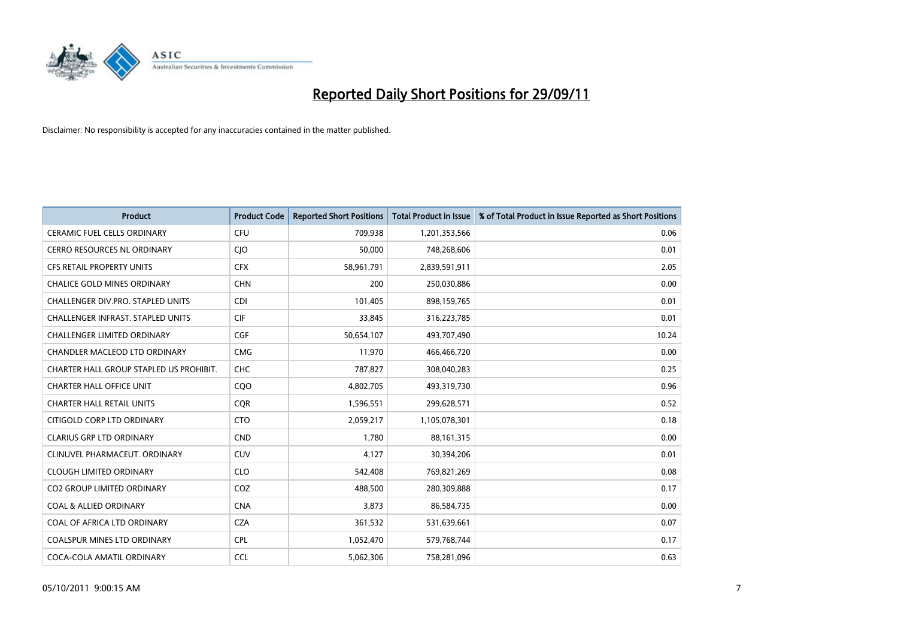

| <b>Product</b>                           | <b>Product Code</b> | <b>Reported Short Positions</b> | <b>Total Product in Issue</b> | % of Total Product in Issue Reported as Short Positions |
|------------------------------------------|---------------------|---------------------------------|-------------------------------|---------------------------------------------------------|
| <b>CERAMIC FUEL CELLS ORDINARY</b>       | <b>CFU</b>          | 709,938                         | 1,201,353,566                 | 0.06                                                    |
| CERRO RESOURCES NL ORDINARY              | <b>CIO</b>          | 50,000                          | 748,268,606                   | 0.01                                                    |
| <b>CFS RETAIL PROPERTY UNITS</b>         | <b>CFX</b>          | 58,961,791                      | 2,839,591,911                 | 2.05                                                    |
| CHALICE GOLD MINES ORDINARY              | <b>CHN</b>          | 200                             | 250,030,886                   | 0.00                                                    |
| CHALLENGER DIV.PRO. STAPLED UNITS        | <b>CDI</b>          | 101,405                         | 898,159,765                   | 0.01                                                    |
| <b>CHALLENGER INFRAST. STAPLED UNITS</b> | <b>CIF</b>          | 33,845                          | 316,223,785                   | 0.01                                                    |
| <b>CHALLENGER LIMITED ORDINARY</b>       | <b>CGF</b>          | 50,654,107                      | 493,707,490                   | 10.24                                                   |
| CHANDLER MACLEOD LTD ORDINARY            | <b>CMG</b>          | 11,970                          | 466,466,720                   | 0.00                                                    |
| CHARTER HALL GROUP STAPLED US PROHIBIT.  | <b>CHC</b>          | 787,827                         | 308,040,283                   | 0.25                                                    |
| <b>CHARTER HALL OFFICE UNIT</b>          | CQ <sub>O</sub>     | 4,802,705                       | 493,319,730                   | 0.96                                                    |
| <b>CHARTER HALL RETAIL UNITS</b>         | <b>CQR</b>          | 1,596,551                       | 299,628,571                   | 0.52                                                    |
| CITIGOLD CORP LTD ORDINARY               | <b>CTO</b>          | 2,059,217                       | 1,105,078,301                 | 0.18                                                    |
| <b>CLARIUS GRP LTD ORDINARY</b>          | <b>CND</b>          | 1,780                           | 88, 161, 315                  | 0.00                                                    |
| CLINUVEL PHARMACEUT, ORDINARY            | <b>CUV</b>          | 4,127                           | 30,394,206                    | 0.01                                                    |
| <b>CLOUGH LIMITED ORDINARY</b>           | <b>CLO</b>          | 542,408                         | 769,821,269                   | 0.08                                                    |
| CO2 GROUP LIMITED ORDINARY               | COZ                 | 488,500                         | 280,309,888                   | 0.17                                                    |
| <b>COAL &amp; ALLIED ORDINARY</b>        | <b>CNA</b>          | 3,873                           | 86,584,735                    | 0.00                                                    |
| COAL OF AFRICA LTD ORDINARY              | <b>CZA</b>          | 361,532                         | 531,639,661                   | 0.07                                                    |
| <b>COALSPUR MINES LTD ORDINARY</b>       | <b>CPL</b>          | 1,052,470                       | 579,768,744                   | 0.17                                                    |
| COCA-COLA AMATIL ORDINARY                | <b>CCL</b>          | 5,062,306                       | 758,281,096                   | 0.63                                                    |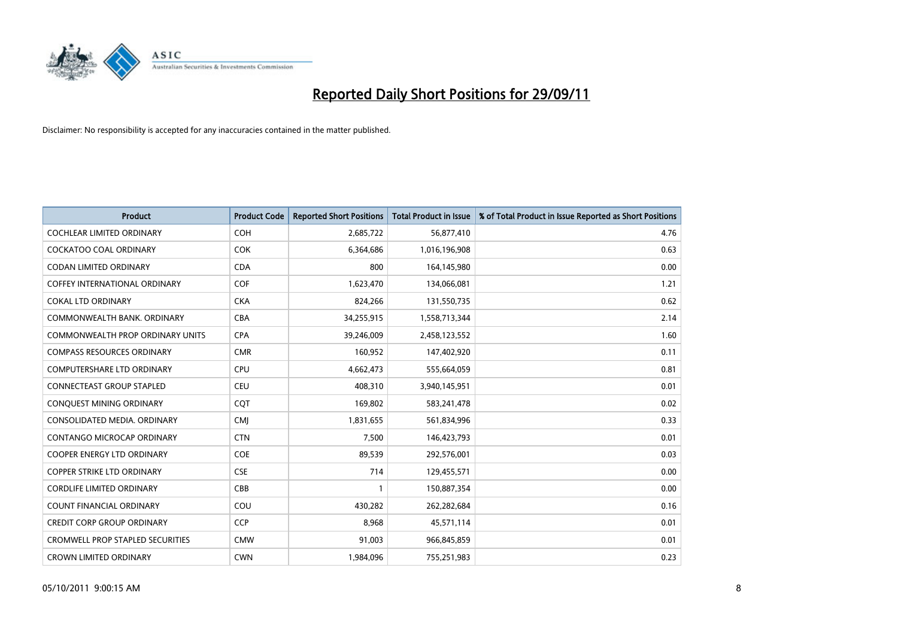

| <b>Product</b>                          | <b>Product Code</b> | <b>Reported Short Positions</b> | <b>Total Product in Issue</b> | % of Total Product in Issue Reported as Short Positions |
|-----------------------------------------|---------------------|---------------------------------|-------------------------------|---------------------------------------------------------|
| <b>COCHLEAR LIMITED ORDINARY</b>        | <b>COH</b>          | 2,685,722                       | 56,877,410                    | 4.76                                                    |
| COCKATOO COAL ORDINARY                  | <b>COK</b>          | 6,364,686                       | 1,016,196,908                 | 0.63                                                    |
| <b>CODAN LIMITED ORDINARY</b>           | <b>CDA</b>          | 800                             | 164,145,980                   | 0.00                                                    |
| COFFEY INTERNATIONAL ORDINARY           | <b>COF</b>          | 1,623,470                       | 134,066,081                   | 1.21                                                    |
| <b>COKAL LTD ORDINARY</b>               | <b>CKA</b>          | 824,266                         | 131,550,735                   | 0.62                                                    |
| COMMONWEALTH BANK, ORDINARY             | <b>CBA</b>          | 34,255,915                      | 1,558,713,344                 | 2.14                                                    |
| COMMONWEALTH PROP ORDINARY UNITS        | <b>CPA</b>          | 39,246,009                      | 2,458,123,552                 | 1.60                                                    |
| <b>COMPASS RESOURCES ORDINARY</b>       | <b>CMR</b>          | 160,952                         | 147,402,920                   | 0.11                                                    |
| COMPUTERSHARE LTD ORDINARY              | <b>CPU</b>          | 4,662,473                       | 555,664,059                   | 0.81                                                    |
| <b>CONNECTEAST GROUP STAPLED</b>        | <b>CEU</b>          | 408,310                         | 3,940,145,951                 | 0.01                                                    |
| CONQUEST MINING ORDINARY                | CQT                 | 169,802                         | 583,241,478                   | 0.02                                                    |
| CONSOLIDATED MEDIA, ORDINARY            | <b>CMI</b>          | 1,831,655                       | 561,834,996                   | 0.33                                                    |
| CONTANGO MICROCAP ORDINARY              | <b>CTN</b>          | 7,500                           | 146,423,793                   | 0.01                                                    |
| <b>COOPER ENERGY LTD ORDINARY</b>       | <b>COE</b>          | 89,539                          | 292,576,001                   | 0.03                                                    |
| <b>COPPER STRIKE LTD ORDINARY</b>       | <b>CSE</b>          | 714                             | 129,455,571                   | 0.00                                                    |
| <b>CORDLIFE LIMITED ORDINARY</b>        | CBB                 |                                 | 150,887,354                   | 0.00                                                    |
| <b>COUNT FINANCIAL ORDINARY</b>         | COU                 | 430,282                         | 262,282,684                   | 0.16                                                    |
| <b>CREDIT CORP GROUP ORDINARY</b>       | <b>CCP</b>          | 8,968                           | 45,571,114                    | 0.01                                                    |
| <b>CROMWELL PROP STAPLED SECURITIES</b> | <b>CMW</b>          | 91,003                          | 966,845,859                   | 0.01                                                    |
| <b>CROWN LIMITED ORDINARY</b>           | <b>CWN</b>          | 1,984,096                       | 755,251,983                   | 0.23                                                    |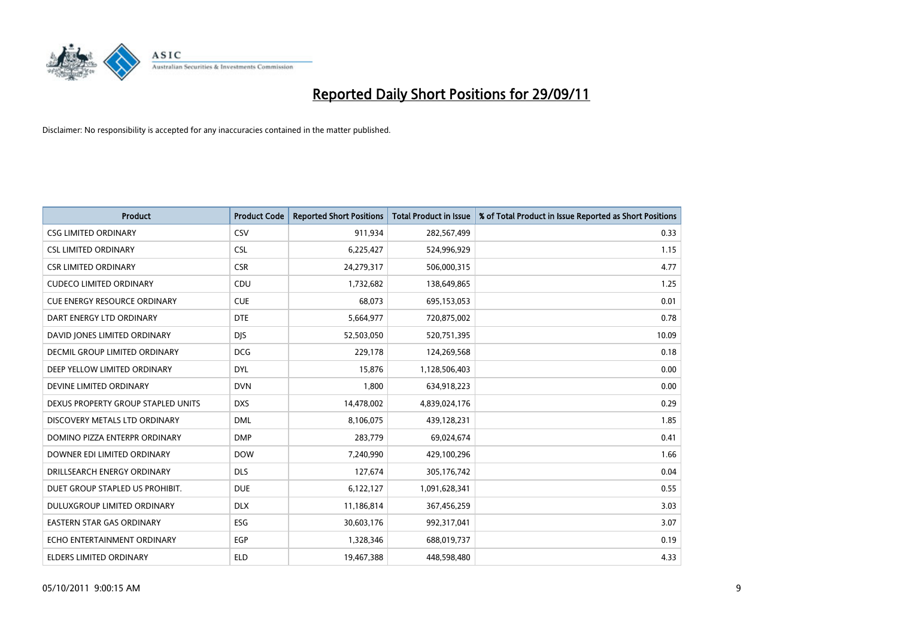

| <b>Product</b>                      | <b>Product Code</b> | <b>Reported Short Positions</b> | <b>Total Product in Issue</b> | % of Total Product in Issue Reported as Short Positions |
|-------------------------------------|---------------------|---------------------------------|-------------------------------|---------------------------------------------------------|
| <b>CSG LIMITED ORDINARY</b>         | CSV                 | 911,934                         | 282,567,499                   | 0.33                                                    |
| <b>CSL LIMITED ORDINARY</b>         | <b>CSL</b>          | 6,225,427                       | 524,996,929                   | 1.15                                                    |
| <b>CSR LIMITED ORDINARY</b>         | <b>CSR</b>          | 24,279,317                      | 506,000,315                   | 4.77                                                    |
| <b>CUDECO LIMITED ORDINARY</b>      | CDU                 | 1,732,682                       | 138,649,865                   | 1.25                                                    |
| <b>CUE ENERGY RESOURCE ORDINARY</b> | <b>CUE</b>          | 68,073                          | 695,153,053                   | 0.01                                                    |
| DART ENERGY LTD ORDINARY            | <b>DTE</b>          | 5,664,977                       | 720,875,002                   | 0.78                                                    |
| DAVID JONES LIMITED ORDINARY        | <b>DIS</b>          | 52,503,050                      | 520,751,395                   | 10.09                                                   |
| DECMIL GROUP LIMITED ORDINARY       | <b>DCG</b>          | 229,178                         | 124,269,568                   | 0.18                                                    |
| DEEP YELLOW LIMITED ORDINARY        | <b>DYL</b>          | 15,876                          | 1,128,506,403                 | 0.00                                                    |
| DEVINE LIMITED ORDINARY             | <b>DVN</b>          | 1,800                           | 634,918,223                   | 0.00                                                    |
| DEXUS PROPERTY GROUP STAPLED UNITS  | <b>DXS</b>          | 14,478,002                      | 4,839,024,176                 | 0.29                                                    |
| DISCOVERY METALS LTD ORDINARY       | <b>DML</b>          | 8,106,075                       | 439,128,231                   | 1.85                                                    |
| DOMINO PIZZA ENTERPR ORDINARY       | <b>DMP</b>          | 283,779                         | 69,024,674                    | 0.41                                                    |
| DOWNER EDI LIMITED ORDINARY         | <b>DOW</b>          | 7,240,990                       | 429,100,296                   | 1.66                                                    |
| DRILLSEARCH ENERGY ORDINARY         | <b>DLS</b>          | 127,674                         | 305,176,742                   | 0.04                                                    |
| DUET GROUP STAPLED US PROHIBIT.     | <b>DUE</b>          | 6,122,127                       | 1,091,628,341                 | 0.55                                                    |
| DULUXGROUP LIMITED ORDINARY         | <b>DLX</b>          | 11,186,814                      | 367,456,259                   | 3.03                                                    |
| EASTERN STAR GAS ORDINARY           | ESG                 | 30,603,176                      | 992,317,041                   | 3.07                                                    |
| ECHO ENTERTAINMENT ORDINARY         | <b>EGP</b>          | 1,328,346                       | 688,019,737                   | 0.19                                                    |
| ELDERS LIMITED ORDINARY             | <b>ELD</b>          | 19,467,388                      | 448,598,480                   | 4.33                                                    |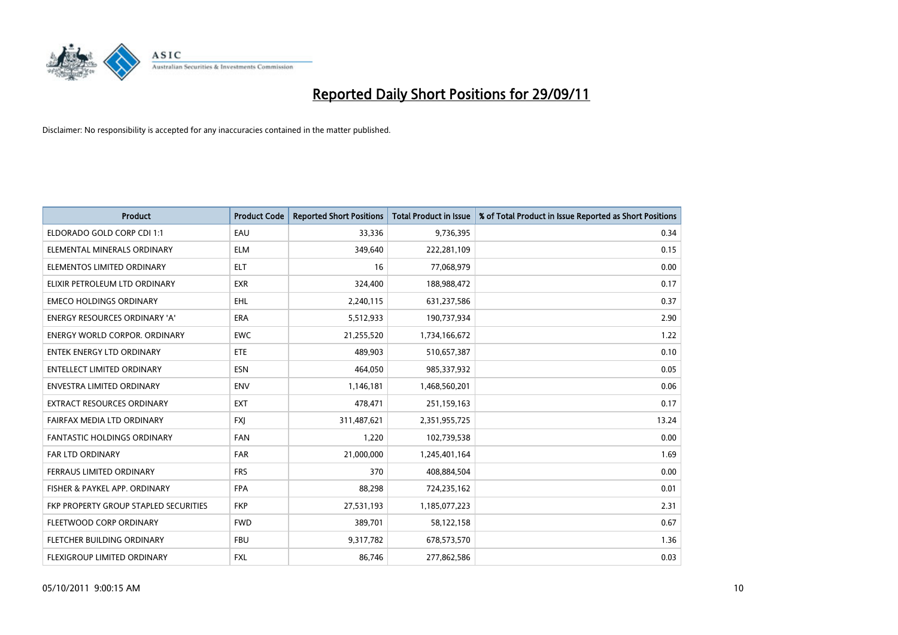

| <b>Product</b>                        | <b>Product Code</b> | <b>Reported Short Positions</b> | <b>Total Product in Issue</b> | % of Total Product in Issue Reported as Short Positions |
|---------------------------------------|---------------------|---------------------------------|-------------------------------|---------------------------------------------------------|
| ELDORADO GOLD CORP CDI 1:1            | EAU                 | 33,336                          | 9,736,395                     | 0.34                                                    |
| ELEMENTAL MINERALS ORDINARY           | <b>ELM</b>          | 349,640                         | 222,281,109                   | 0.15                                                    |
| ELEMENTOS LIMITED ORDINARY            | <b>ELT</b>          | 16                              | 77,068,979                    | 0.00                                                    |
| ELIXIR PETROLEUM LTD ORDINARY         | <b>EXR</b>          | 324,400                         | 188,988,472                   | 0.17                                                    |
| <b>EMECO HOLDINGS ORDINARY</b>        | <b>EHL</b>          | 2,240,115                       | 631,237,586                   | 0.37                                                    |
| <b>ENERGY RESOURCES ORDINARY 'A'</b>  | <b>ERA</b>          | 5,512,933                       | 190,737,934                   | 2.90                                                    |
| ENERGY WORLD CORPOR, ORDINARY         | <b>EWC</b>          | 21,255,520                      | 1,734,166,672                 | 1.22                                                    |
| ENTEK ENERGY LTD ORDINARY             | ETE                 | 489,903                         | 510,657,387                   | 0.10                                                    |
| <b>ENTELLECT LIMITED ORDINARY</b>     | <b>ESN</b>          | 464,050                         | 985,337,932                   | 0.05                                                    |
| <b>ENVESTRA LIMITED ORDINARY</b>      | <b>ENV</b>          | 1,146,181                       | 1,468,560,201                 | 0.06                                                    |
| EXTRACT RESOURCES ORDINARY            | <b>EXT</b>          | 478,471                         | 251,159,163                   | 0.17                                                    |
| FAIRFAX MEDIA LTD ORDINARY            | <b>FXI</b>          | 311,487,621                     | 2,351,955,725                 | 13.24                                                   |
| FANTASTIC HOLDINGS ORDINARY           | <b>FAN</b>          | 1,220                           | 102,739,538                   | 0.00                                                    |
| FAR LTD ORDINARY                      | <b>FAR</b>          | 21,000,000                      | 1,245,401,164                 | 1.69                                                    |
| <b>FERRAUS LIMITED ORDINARY</b>       | <b>FRS</b>          | 370                             | 408,884,504                   | 0.00                                                    |
| FISHER & PAYKEL APP. ORDINARY         | <b>FPA</b>          | 88,298                          | 724,235,162                   | 0.01                                                    |
| FKP PROPERTY GROUP STAPLED SECURITIES | <b>FKP</b>          | 27,531,193                      | 1,185,077,223                 | 2.31                                                    |
| FLEETWOOD CORP ORDINARY               | <b>FWD</b>          | 389,701                         | 58,122,158                    | 0.67                                                    |
| FLETCHER BUILDING ORDINARY            | <b>FBU</b>          | 9,317,782                       | 678,573,570                   | 1.36                                                    |
| FLEXIGROUP LIMITED ORDINARY           | <b>FXL</b>          | 86,746                          | 277,862,586                   | 0.03                                                    |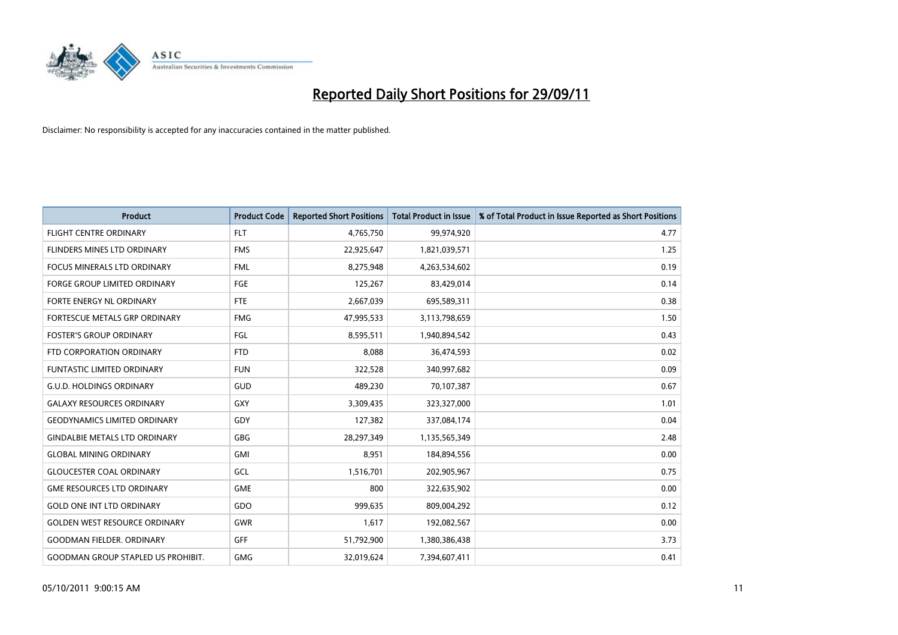

| <b>Product</b>                            | <b>Product Code</b> | <b>Reported Short Positions</b> | <b>Total Product in Issue</b> | % of Total Product in Issue Reported as Short Positions |
|-------------------------------------------|---------------------|---------------------------------|-------------------------------|---------------------------------------------------------|
| <b>FLIGHT CENTRE ORDINARY</b>             | <b>FLT</b>          | 4,765,750                       | 99,974,920                    | 4.77                                                    |
| <b>FLINDERS MINES LTD ORDINARY</b>        | <b>FMS</b>          | 22,925,647                      | 1,821,039,571                 | 1.25                                                    |
| <b>FOCUS MINERALS LTD ORDINARY</b>        | <b>FML</b>          | 8,275,948                       | 4,263,534,602                 | 0.19                                                    |
| FORGE GROUP LIMITED ORDINARY              | FGE                 | 125,267                         | 83,429,014                    | 0.14                                                    |
| <b>FORTE ENERGY NL ORDINARY</b>           | <b>FTE</b>          | 2,667,039                       | 695,589,311                   | 0.38                                                    |
| FORTESCUE METALS GRP ORDINARY             | <b>FMG</b>          | 47,995,533                      | 3,113,798,659                 | 1.50                                                    |
| <b>FOSTER'S GROUP ORDINARY</b>            | FGL                 | 8,595,511                       | 1,940,894,542                 | 0.43                                                    |
| FTD CORPORATION ORDINARY                  | <b>FTD</b>          | 8,088                           | 36,474,593                    | 0.02                                                    |
| FUNTASTIC LIMITED ORDINARY                | <b>FUN</b>          | 322,528                         | 340,997,682                   | 0.09                                                    |
| <b>G.U.D. HOLDINGS ORDINARY</b>           | <b>GUD</b>          | 489,230                         | 70,107,387                    | 0.67                                                    |
| <b>GALAXY RESOURCES ORDINARY</b>          | GXY                 | 3,309,435                       | 323,327,000                   | 1.01                                                    |
| <b>GEODYNAMICS LIMITED ORDINARY</b>       | GDY                 | 127,382                         | 337,084,174                   | 0.04                                                    |
| <b>GINDALBIE METALS LTD ORDINARY</b>      | <b>GBG</b>          | 28,297,349                      | 1,135,565,349                 | 2.48                                                    |
| <b>GLOBAL MINING ORDINARY</b>             | GMI                 | 8,951                           | 184,894,556                   | 0.00                                                    |
| <b>GLOUCESTER COAL ORDINARY</b>           | GCL                 | 1,516,701                       | 202,905,967                   | 0.75                                                    |
| <b>GME RESOURCES LTD ORDINARY</b>         | <b>GME</b>          | 800                             | 322,635,902                   | 0.00                                                    |
| <b>GOLD ONE INT LTD ORDINARY</b>          | GDO                 | 999,635                         | 809,004,292                   | 0.12                                                    |
| <b>GOLDEN WEST RESOURCE ORDINARY</b>      | <b>GWR</b>          | 1,617                           | 192,082,567                   | 0.00                                                    |
| <b>GOODMAN FIELDER, ORDINARY</b>          | <b>GFF</b>          | 51,792,900                      | 1,380,386,438                 | 3.73                                                    |
| <b>GOODMAN GROUP STAPLED US PROHIBIT.</b> | <b>GMG</b>          | 32,019,624                      | 7,394,607,411                 | 0.41                                                    |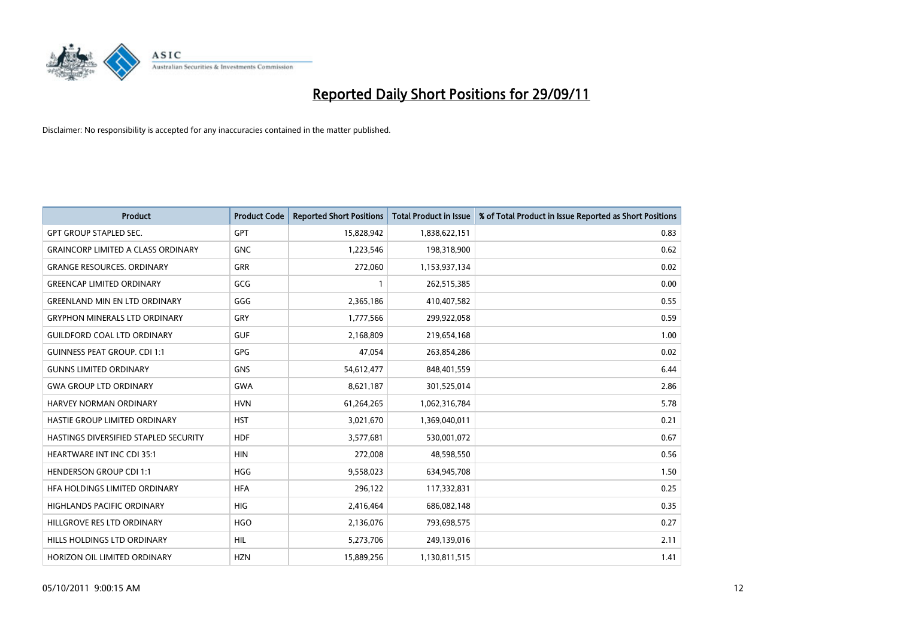

| <b>Product</b>                            | <b>Product Code</b> | <b>Reported Short Positions</b> | <b>Total Product in Issue</b> | % of Total Product in Issue Reported as Short Positions |
|-------------------------------------------|---------------------|---------------------------------|-------------------------------|---------------------------------------------------------|
| <b>GPT GROUP STAPLED SEC.</b>             | <b>GPT</b>          | 15,828,942                      | 1,838,622,151                 | 0.83                                                    |
| <b>GRAINCORP LIMITED A CLASS ORDINARY</b> | <b>GNC</b>          | 1,223,546                       | 198,318,900                   | 0.62                                                    |
| <b>GRANGE RESOURCES. ORDINARY</b>         | <b>GRR</b>          | 272,060                         | 1,153,937,134                 | 0.02                                                    |
| <b>GREENCAP LIMITED ORDINARY</b>          | GCG                 |                                 | 262,515,385                   | 0.00                                                    |
| <b>GREENLAND MIN EN LTD ORDINARY</b>      | GGG                 | 2,365,186                       | 410,407,582                   | 0.55                                                    |
| <b>GRYPHON MINERALS LTD ORDINARY</b>      | GRY                 | 1,777,566                       | 299,922,058                   | 0.59                                                    |
| <b>GUILDFORD COAL LTD ORDINARY</b>        | <b>GUF</b>          | 2,168,809                       | 219,654,168                   | 1.00                                                    |
| <b>GUINNESS PEAT GROUP. CDI 1:1</b>       | <b>GPG</b>          | 47,054                          | 263,854,286                   | 0.02                                                    |
| <b>GUNNS LIMITED ORDINARY</b>             | <b>GNS</b>          | 54,612,477                      | 848,401,559                   | 6.44                                                    |
| <b>GWA GROUP LTD ORDINARY</b>             | <b>GWA</b>          | 8,621,187                       | 301,525,014                   | 2.86                                                    |
| <b>HARVEY NORMAN ORDINARY</b>             | <b>HVN</b>          | 61,264,265                      | 1,062,316,784                 | 5.78                                                    |
| HASTIE GROUP LIMITED ORDINARY             | <b>HST</b>          | 3,021,670                       | 1,369,040,011                 | 0.21                                                    |
| HASTINGS DIVERSIFIED STAPLED SECURITY     | <b>HDF</b>          | 3,577,681                       | 530,001,072                   | 0.67                                                    |
| <b>HEARTWARE INT INC CDI 35:1</b>         | <b>HIN</b>          | 272,008                         | 48,598,550                    | 0.56                                                    |
| <b>HENDERSON GROUP CDI 1:1</b>            | <b>HGG</b>          | 9,558,023                       | 634,945,708                   | 1.50                                                    |
| HFA HOLDINGS LIMITED ORDINARY             | <b>HFA</b>          | 296,122                         | 117,332,831                   | 0.25                                                    |
| <b>HIGHLANDS PACIFIC ORDINARY</b>         | <b>HIG</b>          | 2,416,464                       | 686,082,148                   | 0.35                                                    |
| HILLGROVE RES LTD ORDINARY                | <b>HGO</b>          | 2,136,076                       | 793,698,575                   | 0.27                                                    |
| HILLS HOLDINGS LTD ORDINARY               | <b>HIL</b>          | 5,273,706                       | 249,139,016                   | 2.11                                                    |
| HORIZON OIL LIMITED ORDINARY              | <b>HZN</b>          | 15.889.256                      | 1,130,811,515                 | 1.41                                                    |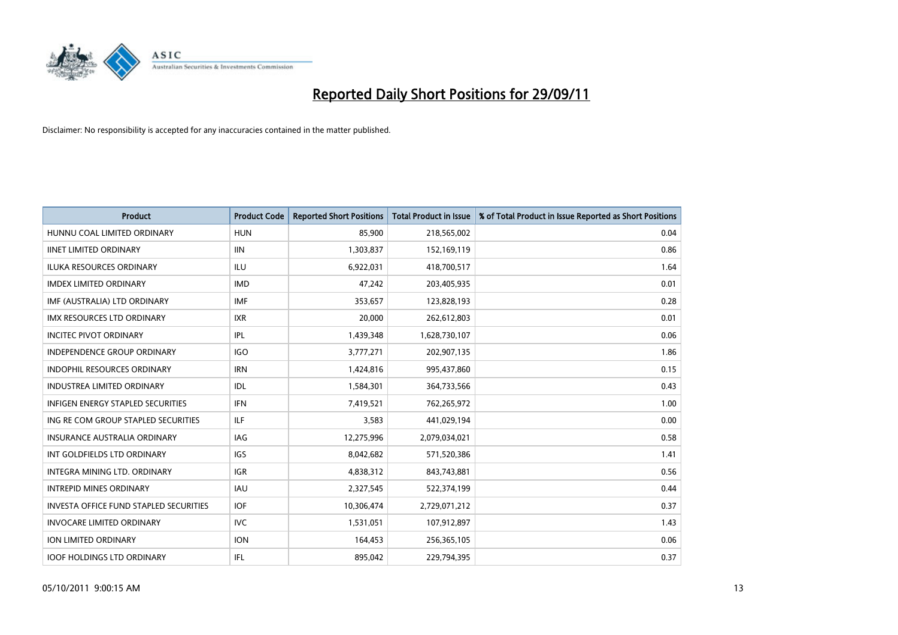

| <b>Product</b>                                | <b>Product Code</b> | <b>Reported Short Positions</b> | <b>Total Product in Issue</b> | % of Total Product in Issue Reported as Short Positions |
|-----------------------------------------------|---------------------|---------------------------------|-------------------------------|---------------------------------------------------------|
| HUNNU COAL LIMITED ORDINARY                   | <b>HUN</b>          | 85,900                          | 218,565,002                   | 0.04                                                    |
| <b>IINET LIMITED ORDINARY</b>                 | <b>IIN</b>          | 1,303,837                       | 152,169,119                   | 0.86                                                    |
| <b>ILUKA RESOURCES ORDINARY</b>               | ILU                 | 6,922,031                       | 418,700,517                   | 1.64                                                    |
| <b>IMDEX LIMITED ORDINARY</b>                 | <b>IMD</b>          | 47,242                          | 203,405,935                   | 0.01                                                    |
| IMF (AUSTRALIA) LTD ORDINARY                  | <b>IMF</b>          | 353,657                         | 123,828,193                   | 0.28                                                    |
| <b>IMX RESOURCES LTD ORDINARY</b>             | <b>IXR</b>          | 20,000                          | 262,612,803                   | 0.01                                                    |
| <b>INCITEC PIVOT ORDINARY</b>                 | IPL                 | 1,439,348                       | 1,628,730,107                 | 0.06                                                    |
| <b>INDEPENDENCE GROUP ORDINARY</b>            | <b>IGO</b>          | 3,777,271                       | 202,907,135                   | 1.86                                                    |
| INDOPHIL RESOURCES ORDINARY                   | <b>IRN</b>          | 1,424,816                       | 995,437,860                   | 0.15                                                    |
| <b>INDUSTREA LIMITED ORDINARY</b>             | IDL                 | 1,584,301                       | 364,733,566                   | 0.43                                                    |
| INFIGEN ENERGY STAPLED SECURITIES             | <b>IFN</b>          | 7,419,521                       | 762,265,972                   | 1.00                                                    |
| ING RE COM GROUP STAPLED SECURITIES           | ILF.                | 3,583                           | 441,029,194                   | 0.00                                                    |
| <b>INSURANCE AUSTRALIA ORDINARY</b>           | IAG                 | 12,275,996                      | 2,079,034,021                 | 0.58                                                    |
| INT GOLDFIELDS LTD ORDINARY                   | <b>IGS</b>          | 8,042,682                       | 571,520,386                   | 1.41                                                    |
| <b>INTEGRA MINING LTD, ORDINARY</b>           | <b>IGR</b>          | 4,838,312                       | 843,743,881                   | 0.56                                                    |
| <b>INTREPID MINES ORDINARY</b>                | <b>IAU</b>          | 2,327,545                       | 522,374,199                   | 0.44                                                    |
| <b>INVESTA OFFICE FUND STAPLED SECURITIES</b> | <b>IOF</b>          | 10,306,474                      | 2,729,071,212                 | 0.37                                                    |
| <b>INVOCARE LIMITED ORDINARY</b>              | IVC                 | 1,531,051                       | 107,912,897                   | 1.43                                                    |
| <b>ION LIMITED ORDINARY</b>                   | <b>ION</b>          | 164,453                         | 256,365,105                   | 0.06                                                    |
| <b>IOOF HOLDINGS LTD ORDINARY</b>             | <b>IFL</b>          | 895.042                         | 229.794.395                   | 0.37                                                    |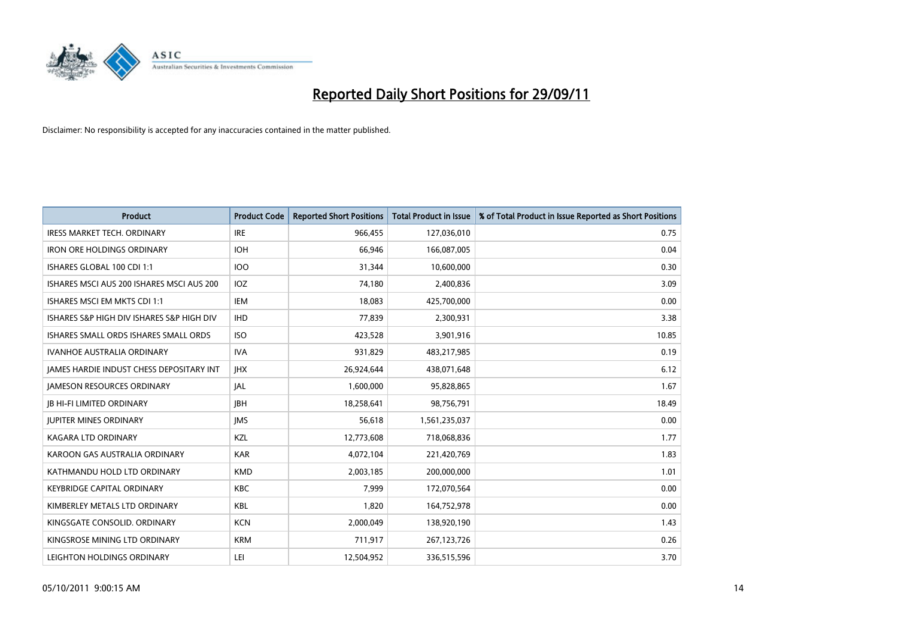

| <b>Product</b>                                  | <b>Product Code</b> | <b>Reported Short Positions</b> | <b>Total Product in Issue</b> | % of Total Product in Issue Reported as Short Positions |
|-------------------------------------------------|---------------------|---------------------------------|-------------------------------|---------------------------------------------------------|
| <b>IRESS MARKET TECH. ORDINARY</b>              | <b>IRE</b>          | 966,455                         | 127,036,010                   | 0.75                                                    |
| <b>IRON ORE HOLDINGS ORDINARY</b>               | <b>IOH</b>          | 66,946                          | 166,087,005                   | 0.04                                                    |
| ISHARES GLOBAL 100 CDI 1:1                      | <b>IOO</b>          | 31,344                          | 10,600,000                    | 0.30                                                    |
| ISHARES MSCI AUS 200 ISHARES MSCI AUS 200       | <b>IOZ</b>          | 74,180                          | 2,400,836                     | 3.09                                                    |
| ISHARES MSCI EM MKTS CDI 1:1                    | IEM                 | 18,083                          | 425,700,000                   | 0.00                                                    |
| ISHARES S&P HIGH DIV ISHARES S&P HIGH DIV       | <b>IHD</b>          | 77,839                          | 2,300,931                     | 3.38                                                    |
| ISHARES SMALL ORDS ISHARES SMALL ORDS           | <b>ISO</b>          | 423,528                         | 3,901,916                     | 10.85                                                   |
| <b>IVANHOE AUSTRALIA ORDINARY</b>               | <b>IVA</b>          | 931,829                         | 483,217,985                   | 0.19                                                    |
| <b>JAMES HARDIE INDUST CHESS DEPOSITARY INT</b> | <b>IHX</b>          | 26,924,644                      | 438,071,648                   | 6.12                                                    |
| <b>JAMESON RESOURCES ORDINARY</b>               | <b>JAL</b>          | 1,600,000                       | 95,828,865                    | 1.67                                                    |
| <b>IB HI-FI LIMITED ORDINARY</b>                | <b>IBH</b>          | 18,258,641                      | 98,756,791                    | 18.49                                                   |
| <b>JUPITER MINES ORDINARY</b>                   | <b>IMS</b>          | 56,618                          | 1,561,235,037                 | 0.00                                                    |
| KAGARA LTD ORDINARY                             | KZL                 | 12,773,608                      | 718,068,836                   | 1.77                                                    |
| KAROON GAS AUSTRALIA ORDINARY                   | <b>KAR</b>          | 4,072,104                       | 221,420,769                   | 1.83                                                    |
| KATHMANDU HOLD LTD ORDINARY                     | <b>KMD</b>          | 2,003,185                       | 200,000,000                   | 1.01                                                    |
| <b>KEYBRIDGE CAPITAL ORDINARY</b>               | <b>KBC</b>          | 7,999                           | 172,070,564                   | 0.00                                                    |
| KIMBERLEY METALS LTD ORDINARY                   | <b>KBL</b>          | 1,820                           | 164,752,978                   | 0.00                                                    |
| KINGSGATE CONSOLID. ORDINARY                    | <b>KCN</b>          | 2,000,049                       | 138,920,190                   | 1.43                                                    |
| KINGSROSE MINING LTD ORDINARY                   | <b>KRM</b>          | 711,917                         | 267, 123, 726                 | 0.26                                                    |
| LEIGHTON HOLDINGS ORDINARY                      | LEI                 | 12,504,952                      | 336,515,596                   | 3.70                                                    |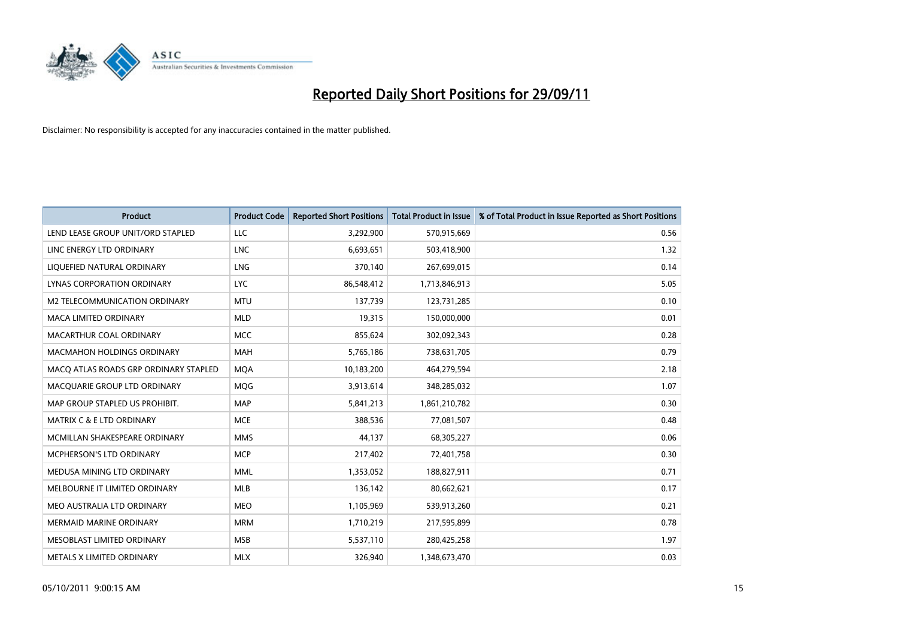

| <b>Product</b>                        | <b>Product Code</b> | <b>Reported Short Positions</b> | <b>Total Product in Issue</b> | % of Total Product in Issue Reported as Short Positions |
|---------------------------------------|---------------------|---------------------------------|-------------------------------|---------------------------------------------------------|
| LEND LEASE GROUP UNIT/ORD STAPLED     | LLC                 | 3,292,900                       | 570,915,669                   | 0.56                                                    |
| LINC ENERGY LTD ORDINARY              | <b>LNC</b>          | 6,693,651                       | 503,418,900                   | 1.32                                                    |
| LIQUEFIED NATURAL ORDINARY            | LNG                 | 370,140                         | 267,699,015                   | 0.14                                                    |
| LYNAS CORPORATION ORDINARY            | <b>LYC</b>          | 86,548,412                      | 1,713,846,913                 | 5.05                                                    |
| M2 TELECOMMUNICATION ORDINARY         | <b>MTU</b>          | 137,739                         | 123,731,285                   | 0.10                                                    |
| <b>MACA LIMITED ORDINARY</b>          | <b>MLD</b>          | 19,315                          | 150,000,000                   | 0.01                                                    |
| MACARTHUR COAL ORDINARY               | <b>MCC</b>          | 855,624                         | 302,092,343                   | 0.28                                                    |
| <b>MACMAHON HOLDINGS ORDINARY</b>     | <b>MAH</b>          | 5,765,186                       | 738,631,705                   | 0.79                                                    |
| MACO ATLAS ROADS GRP ORDINARY STAPLED | <b>MOA</b>          | 10,183,200                      | 464,279,594                   | 2.18                                                    |
| MACOUARIE GROUP LTD ORDINARY          | <b>MOG</b>          | 3,913,614                       | 348,285,032                   | 1.07                                                    |
| MAP GROUP STAPLED US PROHIBIT.        | <b>MAP</b>          | 5,841,213                       | 1,861,210,782                 | 0.30                                                    |
| MATRIX C & E LTD ORDINARY             | <b>MCE</b>          | 388,536                         | 77,081,507                    | 0.48                                                    |
| MCMILLAN SHAKESPEARE ORDINARY         | <b>MMS</b>          | 44,137                          | 68,305,227                    | 0.06                                                    |
| <b>MCPHERSON'S LTD ORDINARY</b>       | <b>MCP</b>          | 217,402                         | 72,401,758                    | 0.30                                                    |
| MEDUSA MINING LTD ORDINARY            | <b>MML</b>          | 1,353,052                       | 188,827,911                   | 0.71                                                    |
| MELBOURNE IT LIMITED ORDINARY         | <b>MLB</b>          | 136,142                         | 80,662,621                    | 0.17                                                    |
| MEO AUSTRALIA LTD ORDINARY            | <b>MEO</b>          | 1,105,969                       | 539,913,260                   | 0.21                                                    |
| <b>MERMAID MARINE ORDINARY</b>        | <b>MRM</b>          | 1,710,219                       | 217,595,899                   | 0.78                                                    |
| MESOBLAST LIMITED ORDINARY            | <b>MSB</b>          | 5,537,110                       | 280,425,258                   | 1.97                                                    |
| METALS X LIMITED ORDINARY             | <b>MLX</b>          | 326,940                         | 1,348,673,470                 | 0.03                                                    |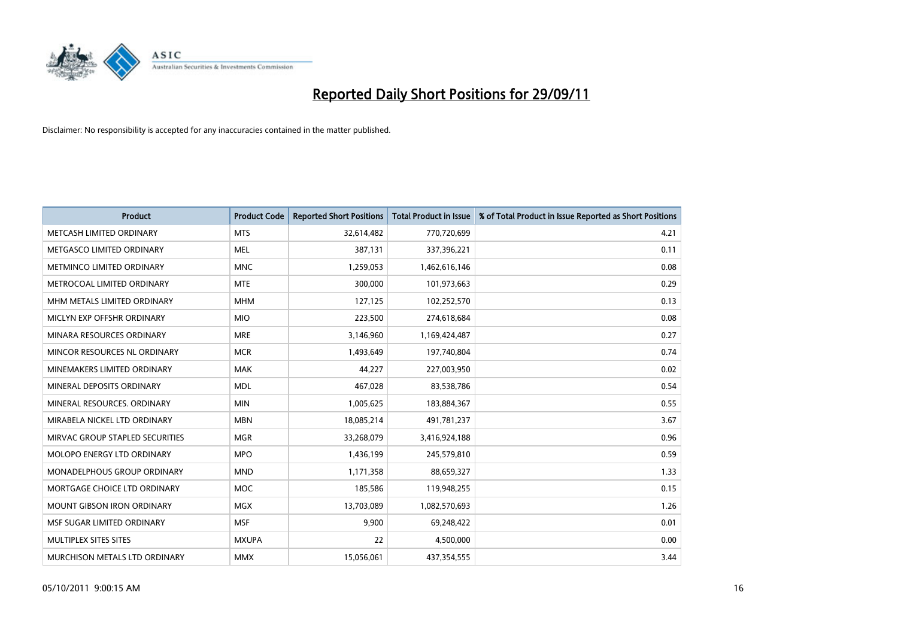

| <b>Product</b>                     | <b>Product Code</b> | <b>Reported Short Positions</b> | <b>Total Product in Issue</b> | % of Total Product in Issue Reported as Short Positions |
|------------------------------------|---------------------|---------------------------------|-------------------------------|---------------------------------------------------------|
| METCASH LIMITED ORDINARY           | <b>MTS</b>          | 32,614,482                      | 770,720,699                   | 4.21                                                    |
| METGASCO LIMITED ORDINARY          | <b>MEL</b>          | 387,131                         | 337,396,221                   | 0.11                                                    |
| METMINCO LIMITED ORDINARY          | <b>MNC</b>          | 1,259,053                       | 1,462,616,146                 | 0.08                                                    |
| METROCOAL LIMITED ORDINARY         | <b>MTE</b>          | 300,000                         | 101,973,663                   | 0.29                                                    |
| MHM METALS LIMITED ORDINARY        | <b>MHM</b>          | 127,125                         | 102,252,570                   | 0.13                                                    |
| MICLYN EXP OFFSHR ORDINARY         | <b>MIO</b>          | 223,500                         | 274,618,684                   | 0.08                                                    |
| MINARA RESOURCES ORDINARY          | <b>MRE</b>          | 3,146,960                       | 1,169,424,487                 | 0.27                                                    |
| MINCOR RESOURCES NL ORDINARY       | <b>MCR</b>          | 1,493,649                       | 197,740,804                   | 0.74                                                    |
| MINEMAKERS LIMITED ORDINARY        | <b>MAK</b>          | 44,227                          | 227,003,950                   | 0.02                                                    |
| MINERAL DEPOSITS ORDINARY          | <b>MDL</b>          | 467,028                         | 83,538,786                    | 0.54                                                    |
| MINERAL RESOURCES, ORDINARY        | <b>MIN</b>          | 1,005,625                       | 183,884,367                   | 0.55                                                    |
| MIRABELA NICKEL LTD ORDINARY       | <b>MBN</b>          | 18,085,214                      | 491,781,237                   | 3.67                                                    |
| MIRVAC GROUP STAPLED SECURITIES    | <b>MGR</b>          | 33,268,079                      | 3,416,924,188                 | 0.96                                                    |
| <b>MOLOPO ENERGY LTD ORDINARY</b>  | <b>MPO</b>          | 1,436,199                       | 245,579,810                   | 0.59                                                    |
| <b>MONADELPHOUS GROUP ORDINARY</b> | <b>MND</b>          | 1,171,358                       | 88,659,327                    | 1.33                                                    |
| MORTGAGE CHOICE LTD ORDINARY       | <b>MOC</b>          | 185,586                         | 119,948,255                   | 0.15                                                    |
| MOUNT GIBSON IRON ORDINARY         | <b>MGX</b>          | 13,703,089                      | 1,082,570,693                 | 1.26                                                    |
| MSF SUGAR LIMITED ORDINARY         | <b>MSF</b>          | 9,900                           | 69,248,422                    | 0.01                                                    |
| MULTIPLEX SITES SITES              | <b>MXUPA</b>        | 22                              | 4,500,000                     | 0.00                                                    |
| MURCHISON METALS LTD ORDINARY      | <b>MMX</b>          | 15,056,061                      | 437,354,555                   | 3.44                                                    |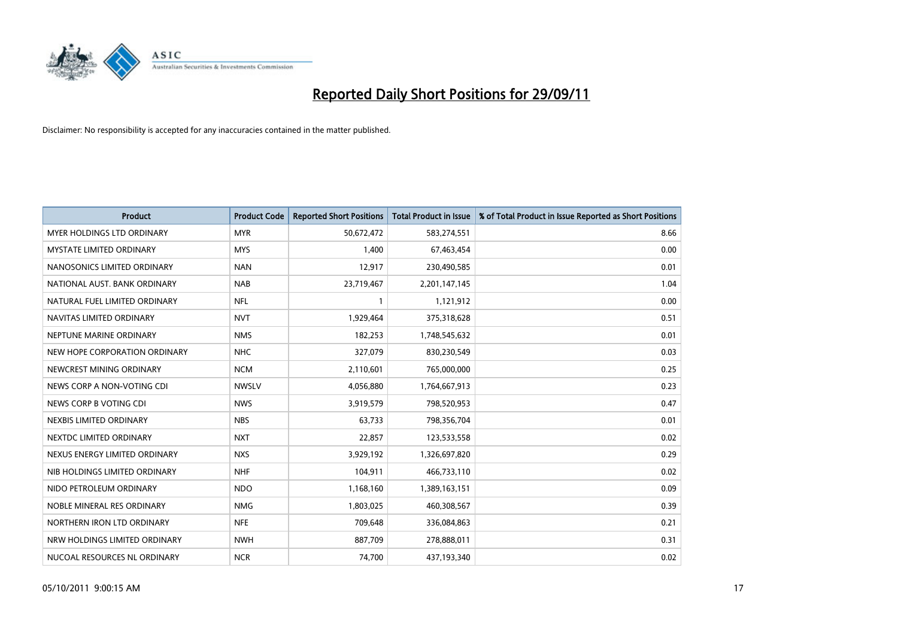

| <b>Product</b>                    | <b>Product Code</b> | <b>Reported Short Positions</b> | <b>Total Product in Issue</b> | % of Total Product in Issue Reported as Short Positions |
|-----------------------------------|---------------------|---------------------------------|-------------------------------|---------------------------------------------------------|
| <b>MYER HOLDINGS LTD ORDINARY</b> | <b>MYR</b>          | 50,672,472                      | 583,274,551                   | 8.66                                                    |
| <b>MYSTATE LIMITED ORDINARY</b>   | <b>MYS</b>          | 1,400                           | 67,463,454                    | 0.00                                                    |
| NANOSONICS LIMITED ORDINARY       | <b>NAN</b>          | 12,917                          | 230,490,585                   | 0.01                                                    |
| NATIONAL AUST, BANK ORDINARY      | <b>NAB</b>          | 23,719,467                      | 2,201,147,145                 | 1.04                                                    |
| NATURAL FUEL LIMITED ORDINARY     | <b>NFL</b>          |                                 | 1,121,912                     | 0.00                                                    |
| NAVITAS LIMITED ORDINARY          | <b>NVT</b>          | 1,929,464                       | 375,318,628                   | 0.51                                                    |
| NEPTUNE MARINE ORDINARY           | <b>NMS</b>          | 182,253                         | 1,748,545,632                 | 0.01                                                    |
| NEW HOPE CORPORATION ORDINARY     | <b>NHC</b>          | 327,079                         | 830,230,549                   | 0.03                                                    |
| NEWCREST MINING ORDINARY          | <b>NCM</b>          | 2,110,601                       | 765,000,000                   | 0.25                                                    |
| NEWS CORP A NON-VOTING CDI        | <b>NWSLV</b>        | 4,056,880                       | 1,764,667,913                 | 0.23                                                    |
| NEWS CORP B VOTING CDI            | <b>NWS</b>          | 3,919,579                       | 798,520,953                   | 0.47                                                    |
| NEXBIS LIMITED ORDINARY           | <b>NBS</b>          | 63,733                          | 798,356,704                   | 0.01                                                    |
| NEXTDC LIMITED ORDINARY           | <b>NXT</b>          | 22,857                          | 123,533,558                   | 0.02                                                    |
| NEXUS ENERGY LIMITED ORDINARY     | <b>NXS</b>          | 3,929,192                       | 1,326,697,820                 | 0.29                                                    |
| NIB HOLDINGS LIMITED ORDINARY     | <b>NHF</b>          | 104,911                         | 466,733,110                   | 0.02                                                    |
| NIDO PETROLEUM ORDINARY           | <b>NDO</b>          | 1,168,160                       | 1,389,163,151                 | 0.09                                                    |
| NOBLE MINERAL RES ORDINARY        | <b>NMG</b>          | 1,803,025                       | 460,308,567                   | 0.39                                                    |
| NORTHERN IRON LTD ORDINARY        | <b>NFE</b>          | 709,648                         | 336,084,863                   | 0.21                                                    |
| NRW HOLDINGS LIMITED ORDINARY     | <b>NWH</b>          | 887,709                         | 278,888,011                   | 0.31                                                    |
| NUCOAL RESOURCES NL ORDINARY      | <b>NCR</b>          | 74,700                          | 437,193,340                   | 0.02                                                    |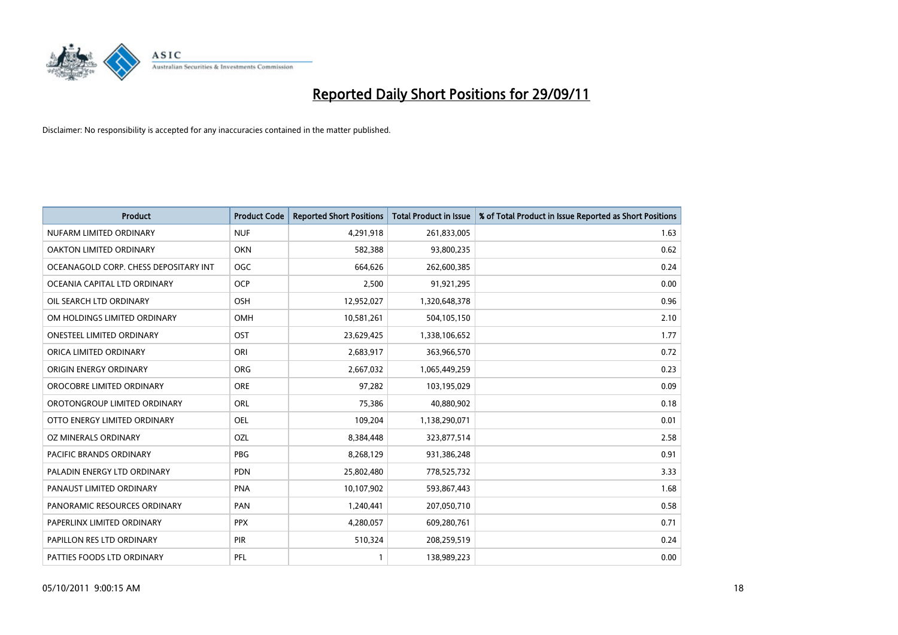

| <b>Product</b>                        | <b>Product Code</b> | <b>Reported Short Positions</b> | <b>Total Product in Issue</b> | % of Total Product in Issue Reported as Short Positions |
|---------------------------------------|---------------------|---------------------------------|-------------------------------|---------------------------------------------------------|
| NUFARM LIMITED ORDINARY               | <b>NUF</b>          | 4,291,918                       | 261,833,005                   | 1.63                                                    |
| OAKTON LIMITED ORDINARY               | <b>OKN</b>          | 582,388                         | 93,800,235                    | 0.62                                                    |
| OCEANAGOLD CORP. CHESS DEPOSITARY INT | <b>OGC</b>          | 664,626                         | 262,600,385                   | 0.24                                                    |
| OCEANIA CAPITAL LTD ORDINARY          | <b>OCP</b>          | 2,500                           | 91,921,295                    | 0.00                                                    |
| OIL SEARCH LTD ORDINARY               | <b>OSH</b>          | 12,952,027                      | 1,320,648,378                 | 0.96                                                    |
| OM HOLDINGS LIMITED ORDINARY          | OMH                 | 10,581,261                      | 504,105,150                   | 2.10                                                    |
| ONESTEEL LIMITED ORDINARY             | OST                 | 23,629,425                      | 1,338,106,652                 | 1.77                                                    |
| ORICA LIMITED ORDINARY                | ORI                 | 2,683,917                       | 363,966,570                   | 0.72                                                    |
| ORIGIN ENERGY ORDINARY                | <b>ORG</b>          | 2,667,032                       | 1,065,449,259                 | 0.23                                                    |
| OROCOBRE LIMITED ORDINARY             | <b>ORE</b>          | 97,282                          | 103,195,029                   | 0.09                                                    |
| OROTONGROUP LIMITED ORDINARY          | ORL                 | 75,386                          | 40,880,902                    | 0.18                                                    |
| OTTO ENERGY LIMITED ORDINARY          | OEL                 | 109,204                         | 1,138,290,071                 | 0.01                                                    |
| OZ MINERALS ORDINARY                  | OZL                 | 8,384,448                       | 323,877,514                   | 2.58                                                    |
| <b>PACIFIC BRANDS ORDINARY</b>        | <b>PBG</b>          | 8,268,129                       | 931,386,248                   | 0.91                                                    |
| PALADIN ENERGY LTD ORDINARY           | <b>PDN</b>          | 25,802,480                      | 778,525,732                   | 3.33                                                    |
| PANAUST LIMITED ORDINARY              | <b>PNA</b>          | 10,107,902                      | 593,867,443                   | 1.68                                                    |
| PANORAMIC RESOURCES ORDINARY          | PAN                 | 1,240,441                       | 207,050,710                   | 0.58                                                    |
| PAPERLINX LIMITED ORDINARY            | <b>PPX</b>          | 4,280,057                       | 609,280,761                   | 0.71                                                    |
| PAPILLON RES LTD ORDINARY             | <b>PIR</b>          | 510,324                         | 208,259,519                   | 0.24                                                    |
| PATTIES FOODS LTD ORDINARY            | PFL                 |                                 | 138,989,223                   | 0.00                                                    |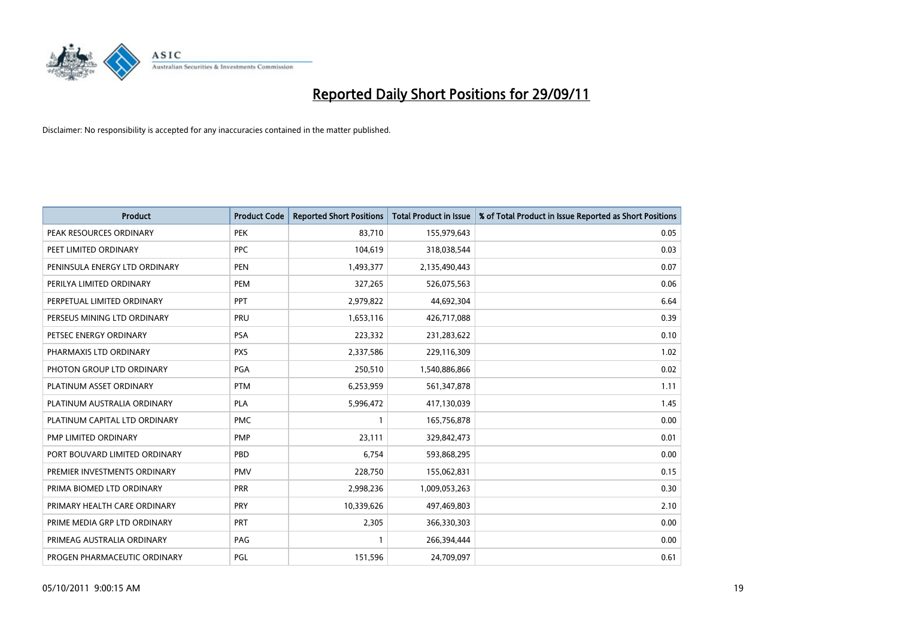

| <b>Product</b>                | <b>Product Code</b> | <b>Reported Short Positions</b> | <b>Total Product in Issue</b> | % of Total Product in Issue Reported as Short Positions |
|-------------------------------|---------------------|---------------------------------|-------------------------------|---------------------------------------------------------|
| PEAK RESOURCES ORDINARY       | <b>PEK</b>          | 83,710                          | 155,979,643                   | 0.05                                                    |
| PEET LIMITED ORDINARY         | <b>PPC</b>          | 104,619                         | 318,038,544                   | 0.03                                                    |
| PENINSULA ENERGY LTD ORDINARY | <b>PEN</b>          | 1,493,377                       | 2,135,490,443                 | 0.07                                                    |
| PERILYA LIMITED ORDINARY      | PEM                 | 327,265                         | 526,075,563                   | 0.06                                                    |
| PERPETUAL LIMITED ORDINARY    | <b>PPT</b>          | 2,979,822                       | 44,692,304                    | 6.64                                                    |
| PERSEUS MINING LTD ORDINARY   | PRU                 | 1,653,116                       | 426,717,088                   | 0.39                                                    |
| PETSEC ENERGY ORDINARY        | <b>PSA</b>          | 223,332                         | 231,283,622                   | 0.10                                                    |
| PHARMAXIS LTD ORDINARY        | <b>PXS</b>          | 2,337,586                       | 229,116,309                   | 1.02                                                    |
| PHOTON GROUP LTD ORDINARY     | <b>PGA</b>          | 250,510                         | 1,540,886,866                 | 0.02                                                    |
| PLATINUM ASSET ORDINARY       | <b>PTM</b>          | 6,253,959                       | 561,347,878                   | 1.11                                                    |
| PLATINUM AUSTRALIA ORDINARY   | <b>PLA</b>          | 5,996,472                       | 417,130,039                   | 1.45                                                    |
| PLATINUM CAPITAL LTD ORDINARY | <b>PMC</b>          |                                 | 165,756,878                   | 0.00                                                    |
| PMP LIMITED ORDINARY          | <b>PMP</b>          | 23,111                          | 329,842,473                   | 0.01                                                    |
| PORT BOUVARD LIMITED ORDINARY | PBD                 | 6,754                           | 593,868,295                   | 0.00                                                    |
| PREMIER INVESTMENTS ORDINARY  | <b>PMV</b>          | 228,750                         | 155,062,831                   | 0.15                                                    |
| PRIMA BIOMED LTD ORDINARY     | <b>PRR</b>          | 2,998,236                       | 1,009,053,263                 | 0.30                                                    |
| PRIMARY HEALTH CARE ORDINARY  | PRY                 | 10,339,626                      | 497,469,803                   | 2.10                                                    |
| PRIME MEDIA GRP LTD ORDINARY  | <b>PRT</b>          | 2,305                           | 366,330,303                   | 0.00                                                    |
| PRIMEAG AUSTRALIA ORDINARY    | PAG                 |                                 | 266,394,444                   | 0.00                                                    |
| PROGEN PHARMACEUTIC ORDINARY  | PGL                 | 151,596                         | 24,709,097                    | 0.61                                                    |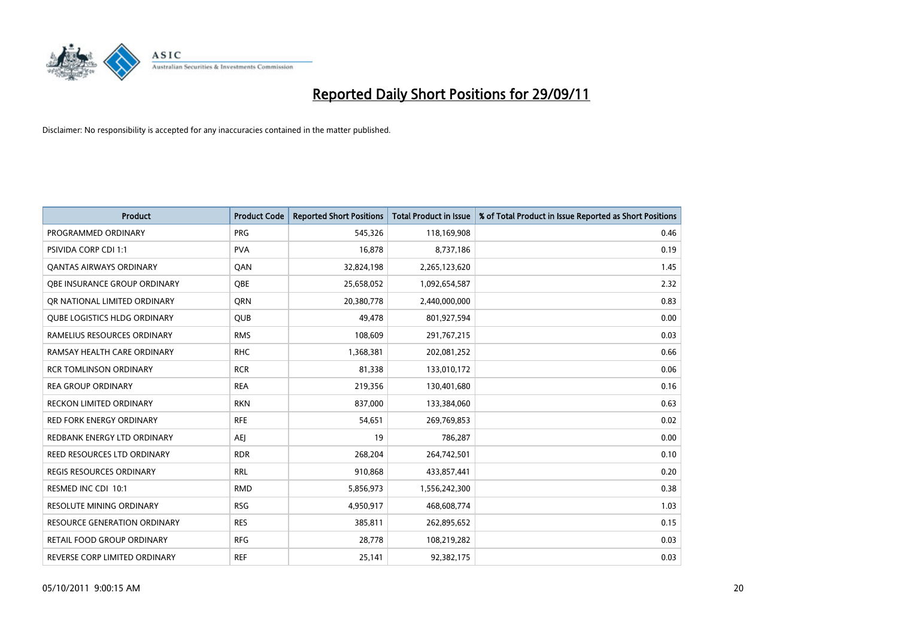

| <b>Product</b>                      | <b>Product Code</b> | <b>Reported Short Positions</b> | <b>Total Product in Issue</b> | % of Total Product in Issue Reported as Short Positions |
|-------------------------------------|---------------------|---------------------------------|-------------------------------|---------------------------------------------------------|
| PROGRAMMED ORDINARY                 | <b>PRG</b>          | 545,326                         | 118,169,908                   | 0.46                                                    |
| PSIVIDA CORP CDI 1:1                | <b>PVA</b>          | 16,878                          | 8,737,186                     | 0.19                                                    |
| <b>OANTAS AIRWAYS ORDINARY</b>      | QAN                 | 32,824,198                      | 2,265,123,620                 | 1.45                                                    |
| <b>OBE INSURANCE GROUP ORDINARY</b> | <b>OBE</b>          | 25,658,052                      | 1,092,654,587                 | 2.32                                                    |
| OR NATIONAL LIMITED ORDINARY        | <b>ORN</b>          | 20,380,778                      | 2,440,000,000                 | 0.83                                                    |
| <b>QUBE LOGISTICS HLDG ORDINARY</b> | <b>OUB</b>          | 49,478                          | 801,927,594                   | 0.00                                                    |
| RAMELIUS RESOURCES ORDINARY         | <b>RMS</b>          | 108,609                         | 291,767,215                   | 0.03                                                    |
| RAMSAY HEALTH CARE ORDINARY         | <b>RHC</b>          | 1,368,381                       | 202,081,252                   | 0.66                                                    |
| <b>RCR TOMLINSON ORDINARY</b>       | <b>RCR</b>          | 81,338                          | 133,010,172                   | 0.06                                                    |
| <b>REA GROUP ORDINARY</b>           | <b>REA</b>          | 219,356                         | 130,401,680                   | 0.16                                                    |
| RECKON LIMITED ORDINARY             | <b>RKN</b>          | 837,000                         | 133,384,060                   | 0.63                                                    |
| <b>RED FORK ENERGY ORDINARY</b>     | <b>RFE</b>          | 54,651                          | 269,769,853                   | 0.02                                                    |
| REDBANK ENERGY LTD ORDINARY         | AEI                 | 19                              | 786,287                       | 0.00                                                    |
| REED RESOURCES LTD ORDINARY         | <b>RDR</b>          | 268,204                         | 264,742,501                   | 0.10                                                    |
| <b>REGIS RESOURCES ORDINARY</b>     | <b>RRL</b>          | 910,868                         | 433,857,441                   | 0.20                                                    |
| RESMED INC CDI 10:1                 | <b>RMD</b>          | 5,856,973                       | 1,556,242,300                 | 0.38                                                    |
| RESOLUTE MINING ORDINARY            | <b>RSG</b>          | 4,950,917                       | 468,608,774                   | 1.03                                                    |
| RESOURCE GENERATION ORDINARY        | <b>RES</b>          | 385,811                         | 262,895,652                   | 0.15                                                    |
| RETAIL FOOD GROUP ORDINARY          | <b>RFG</b>          | 28,778                          | 108,219,282                   | 0.03                                                    |
| REVERSE CORP LIMITED ORDINARY       | <b>REF</b>          | 25,141                          | 92,382,175                    | 0.03                                                    |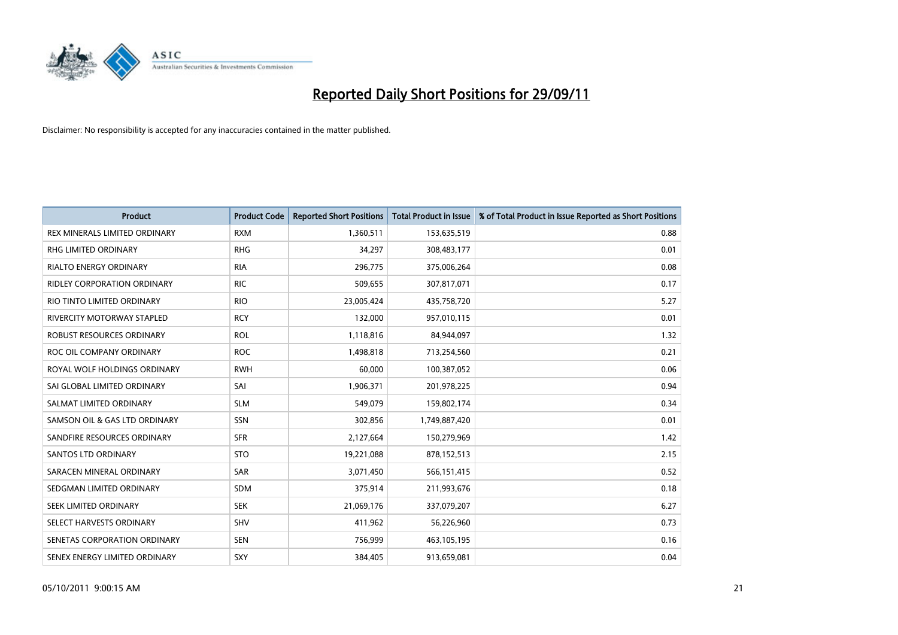

| <b>Product</b>                    | <b>Product Code</b> | <b>Reported Short Positions</b> | <b>Total Product in Issue</b> | % of Total Product in Issue Reported as Short Positions |
|-----------------------------------|---------------------|---------------------------------|-------------------------------|---------------------------------------------------------|
| REX MINERALS LIMITED ORDINARY     | <b>RXM</b>          | 1,360,511                       | 153,635,519                   | 0.88                                                    |
| RHG LIMITED ORDINARY              | <b>RHG</b>          | 34,297                          | 308,483,177                   | 0.01                                                    |
| <b>RIALTO ENERGY ORDINARY</b>     | <b>RIA</b>          | 296,775                         | 375,006,264                   | 0.08                                                    |
| RIDLEY CORPORATION ORDINARY       | <b>RIC</b>          | 509,655                         | 307,817,071                   | 0.17                                                    |
| RIO TINTO LIMITED ORDINARY        | <b>RIO</b>          | 23,005,424                      | 435,758,720                   | 5.27                                                    |
| <b>RIVERCITY MOTORWAY STAPLED</b> | <b>RCY</b>          | 132,000                         | 957,010,115                   | 0.01                                                    |
| ROBUST RESOURCES ORDINARY         | <b>ROL</b>          | 1,118,816                       | 84,944,097                    | 1.32                                                    |
| ROC OIL COMPANY ORDINARY          | <b>ROC</b>          | 1,498,818                       | 713,254,560                   | 0.21                                                    |
| ROYAL WOLF HOLDINGS ORDINARY      | <b>RWH</b>          | 60,000                          | 100,387,052                   | 0.06                                                    |
| SAI GLOBAL LIMITED ORDINARY       | SAI                 | 1,906,371                       | 201,978,225                   | 0.94                                                    |
| SALMAT LIMITED ORDINARY           | <b>SLM</b>          | 549,079                         | 159,802,174                   | 0.34                                                    |
| SAMSON OIL & GAS LTD ORDINARY     | SSN                 | 302,856                         | 1,749,887,420                 | 0.01                                                    |
| SANDFIRE RESOURCES ORDINARY       | <b>SFR</b>          | 2,127,664                       | 150,279,969                   | 1.42                                                    |
| <b>SANTOS LTD ORDINARY</b>        | <b>STO</b>          | 19,221,088                      | 878,152,513                   | 2.15                                                    |
| SARACEN MINERAL ORDINARY          | SAR                 | 3,071,450                       | 566,151,415                   | 0.52                                                    |
| SEDGMAN LIMITED ORDINARY          | <b>SDM</b>          | 375,914                         | 211,993,676                   | 0.18                                                    |
| SEEK LIMITED ORDINARY             | <b>SEK</b>          | 21,069,176                      | 337,079,207                   | 6.27                                                    |
| SELECT HARVESTS ORDINARY          | SHV                 | 411,962                         | 56,226,960                    | 0.73                                                    |
| SENETAS CORPORATION ORDINARY      | <b>SEN</b>          | 756,999                         | 463,105,195                   | 0.16                                                    |
| SENEX ENERGY LIMITED ORDINARY     | SXY                 | 384,405                         | 913,659,081                   | 0.04                                                    |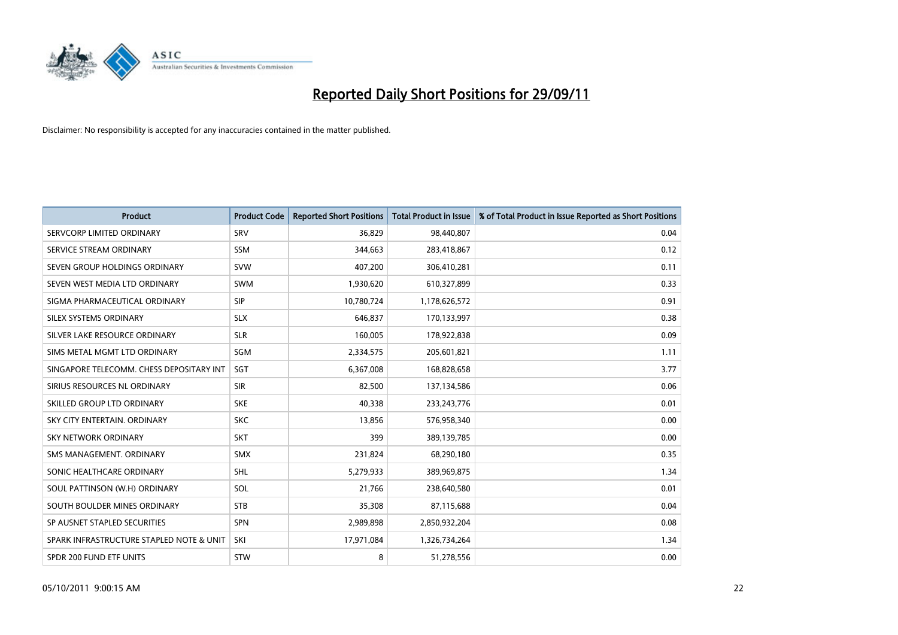

| <b>Product</b>                           | <b>Product Code</b> | <b>Reported Short Positions</b> | <b>Total Product in Issue</b> | % of Total Product in Issue Reported as Short Positions |
|------------------------------------------|---------------------|---------------------------------|-------------------------------|---------------------------------------------------------|
| SERVCORP LIMITED ORDINARY                | SRV                 | 36,829                          | 98,440,807                    | 0.04                                                    |
| SERVICE STREAM ORDINARY                  | <b>SSM</b>          | 344,663                         | 283,418,867                   | 0.12                                                    |
| SEVEN GROUP HOLDINGS ORDINARY            | <b>SVW</b>          | 407,200                         | 306,410,281                   | 0.11                                                    |
| SEVEN WEST MEDIA LTD ORDINARY            | <b>SWM</b>          | 1,930,620                       | 610,327,899                   | 0.33                                                    |
| SIGMA PHARMACEUTICAL ORDINARY            | <b>SIP</b>          | 10,780,724                      | 1,178,626,572                 | 0.91                                                    |
| SILEX SYSTEMS ORDINARY                   | <b>SLX</b>          | 646.837                         | 170,133,997                   | 0.38                                                    |
| SILVER LAKE RESOURCE ORDINARY            | <b>SLR</b>          | 160,005                         | 178,922,838                   | 0.09                                                    |
| SIMS METAL MGMT LTD ORDINARY             | <b>SGM</b>          | 2,334,575                       | 205,601,821                   | 1.11                                                    |
| SINGAPORE TELECOMM. CHESS DEPOSITARY INT | <b>SGT</b>          | 6,367,008                       | 168,828,658                   | 3.77                                                    |
| SIRIUS RESOURCES NL ORDINARY             | <b>SIR</b>          | 82,500                          | 137,134,586                   | 0.06                                                    |
| SKILLED GROUP LTD ORDINARY               | <b>SKE</b>          | 40,338                          | 233, 243, 776                 | 0.01                                                    |
| SKY CITY ENTERTAIN, ORDINARY             | <b>SKC</b>          | 13,856                          | 576,958,340                   | 0.00                                                    |
| SKY NETWORK ORDINARY                     | <b>SKT</b>          | 399                             | 389,139,785                   | 0.00                                                    |
| SMS MANAGEMENT, ORDINARY                 | <b>SMX</b>          | 231,824                         | 68,290,180                    | 0.35                                                    |
| SONIC HEALTHCARE ORDINARY                | <b>SHL</b>          | 5,279,933                       | 389,969,875                   | 1.34                                                    |
| SOUL PATTINSON (W.H) ORDINARY            | SOL                 | 21,766                          | 238,640,580                   | 0.01                                                    |
| SOUTH BOULDER MINES ORDINARY             | <b>STB</b>          | 35,308                          | 87,115,688                    | 0.04                                                    |
| SP AUSNET STAPLED SECURITIES             | <b>SPN</b>          | 2,989,898                       | 2,850,932,204                 | 0.08                                                    |
| SPARK INFRASTRUCTURE STAPLED NOTE & UNIT | SKI                 | 17,971,084                      | 1,326,734,264                 | 1.34                                                    |
| SPDR 200 FUND ETF UNITS                  | <b>STW</b>          | 8                               | 51,278,556                    | 0.00                                                    |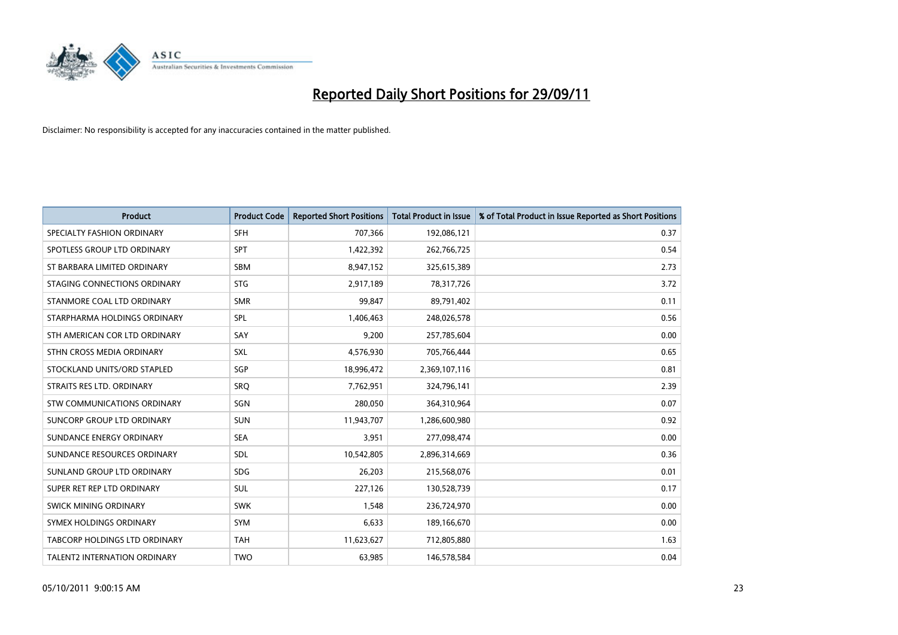

| <b>Product</b>                | <b>Product Code</b> | <b>Reported Short Positions</b> | <b>Total Product in Issue</b> | % of Total Product in Issue Reported as Short Positions |
|-------------------------------|---------------------|---------------------------------|-------------------------------|---------------------------------------------------------|
| SPECIALTY FASHION ORDINARY    | <b>SFH</b>          | 707,366                         | 192,086,121                   | 0.37                                                    |
| SPOTLESS GROUP LTD ORDINARY   | <b>SPT</b>          | 1,422,392                       | 262,766,725                   | 0.54                                                    |
| ST BARBARA LIMITED ORDINARY   | <b>SBM</b>          | 8,947,152                       | 325,615,389                   | 2.73                                                    |
| STAGING CONNECTIONS ORDINARY  | <b>STG</b>          | 2,917,189                       | 78,317,726                    | 3.72                                                    |
| STANMORE COAL LTD ORDINARY    | <b>SMR</b>          | 99,847                          | 89,791,402                    | 0.11                                                    |
| STARPHARMA HOLDINGS ORDINARY  | SPL                 | 1,406,463                       | 248,026,578                   | 0.56                                                    |
| STH AMERICAN COR LTD ORDINARY | SAY                 | 9,200                           | 257,785,604                   | 0.00                                                    |
| STHN CROSS MEDIA ORDINARY     | SXL                 | 4,576,930                       | 705,766,444                   | 0.65                                                    |
| STOCKLAND UNITS/ORD STAPLED   | SGP                 | 18,996,472                      | 2,369,107,116                 | 0.81                                                    |
| STRAITS RES LTD. ORDINARY     | SRO                 | 7,762,951                       | 324,796,141                   | 2.39                                                    |
| STW COMMUNICATIONS ORDINARY   | SGN                 | 280,050                         | 364,310,964                   | 0.07                                                    |
| SUNCORP GROUP LTD ORDINARY    | <b>SUN</b>          | 11,943,707                      | 1,286,600,980                 | 0.92                                                    |
| SUNDANCE ENERGY ORDINARY      | <b>SEA</b>          | 3,951                           | 277,098,474                   | 0.00                                                    |
| SUNDANCE RESOURCES ORDINARY   | SDL                 | 10,542,805                      | 2,896,314,669                 | 0.36                                                    |
| SUNLAND GROUP LTD ORDINARY    | <b>SDG</b>          | 26,203                          | 215,568,076                   | 0.01                                                    |
| SUPER RET REP LTD ORDINARY    | <b>SUL</b>          | 227,126                         | 130,528,739                   | 0.17                                                    |
| SWICK MINING ORDINARY         | <b>SWK</b>          | 1,548                           | 236,724,970                   | 0.00                                                    |
| SYMEX HOLDINGS ORDINARY       | <b>SYM</b>          | 6,633                           | 189,166,670                   | 0.00                                                    |
| TABCORP HOLDINGS LTD ORDINARY | <b>TAH</b>          | 11,623,627                      | 712,805,880                   | 1.63                                                    |
| TALENT2 INTERNATION ORDINARY  | <b>TWO</b>          | 63,985                          | 146,578,584                   | 0.04                                                    |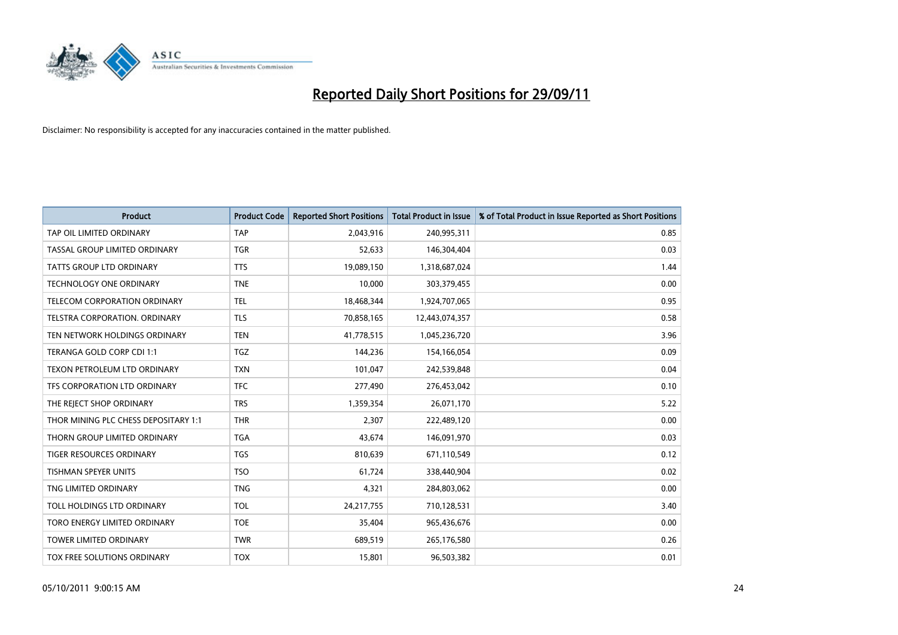

| <b>Product</b>                       | <b>Product Code</b> | <b>Reported Short Positions</b> | <b>Total Product in Issue</b> | % of Total Product in Issue Reported as Short Positions |
|--------------------------------------|---------------------|---------------------------------|-------------------------------|---------------------------------------------------------|
| TAP OIL LIMITED ORDINARY             | <b>TAP</b>          | 2,043,916                       | 240,995,311                   | 0.85                                                    |
| TASSAL GROUP LIMITED ORDINARY        | <b>TGR</b>          | 52,633                          | 146,304,404                   | 0.03                                                    |
| <b>TATTS GROUP LTD ORDINARY</b>      | <b>TTS</b>          | 19,089,150                      | 1,318,687,024                 | 1.44                                                    |
| TECHNOLOGY ONE ORDINARY              | <b>TNE</b>          | 10,000                          | 303,379,455                   | 0.00                                                    |
| <b>TELECOM CORPORATION ORDINARY</b>  | <b>TEL</b>          | 18,468,344                      | 1,924,707,065                 | 0.95                                                    |
| TELSTRA CORPORATION, ORDINARY        | <b>TLS</b>          | 70,858,165                      | 12,443,074,357                | 0.58                                                    |
| TEN NETWORK HOLDINGS ORDINARY        | <b>TEN</b>          | 41,778,515                      | 1,045,236,720                 | 3.96                                                    |
| TERANGA GOLD CORP CDI 1:1            | <b>TGZ</b>          | 144,236                         | 154,166,054                   | 0.09                                                    |
| TEXON PETROLEUM LTD ORDINARY         | <b>TXN</b>          | 101,047                         | 242,539,848                   | 0.04                                                    |
| TFS CORPORATION LTD ORDINARY         | <b>TFC</b>          | 277,490                         | 276,453,042                   | 0.10                                                    |
| THE REJECT SHOP ORDINARY             | <b>TRS</b>          | 1,359,354                       | 26,071,170                    | 5.22                                                    |
| THOR MINING PLC CHESS DEPOSITARY 1:1 | <b>THR</b>          | 2.307                           | 222,489,120                   | 0.00                                                    |
| THORN GROUP LIMITED ORDINARY         | <b>TGA</b>          | 43,674                          | 146,091,970                   | 0.03                                                    |
| <b>TIGER RESOURCES ORDINARY</b>      | <b>TGS</b>          | 810,639                         | 671,110,549                   | 0.12                                                    |
| <b>TISHMAN SPEYER UNITS</b>          | <b>TSO</b>          | 61,724                          | 338,440,904                   | 0.02                                                    |
| TNG LIMITED ORDINARY                 | <b>TNG</b>          | 4,321                           | 284,803,062                   | 0.00                                                    |
| TOLL HOLDINGS LTD ORDINARY           | <b>TOL</b>          | 24, 217, 755                    | 710,128,531                   | 3.40                                                    |
| TORO ENERGY LIMITED ORDINARY         | <b>TOE</b>          | 35,404                          | 965,436,676                   | 0.00                                                    |
| <b>TOWER LIMITED ORDINARY</b>        | <b>TWR</b>          | 689,519                         | 265,176,580                   | 0.26                                                    |
| TOX FREE SOLUTIONS ORDINARY          | <b>TOX</b>          | 15,801                          | 96,503,382                    | 0.01                                                    |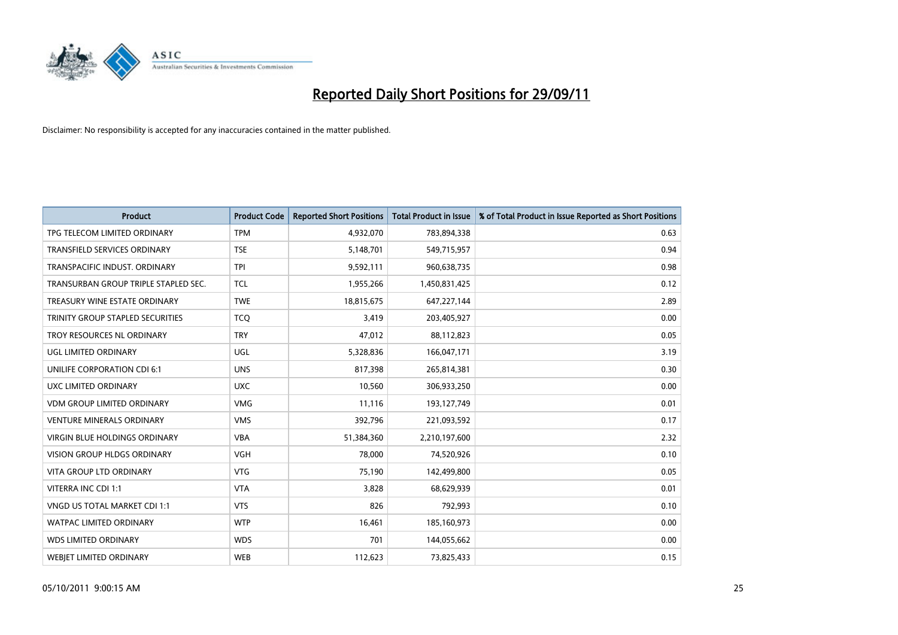

| <b>Product</b>                       | <b>Product Code</b> | <b>Reported Short Positions</b> | <b>Total Product in Issue</b> | % of Total Product in Issue Reported as Short Positions |
|--------------------------------------|---------------------|---------------------------------|-------------------------------|---------------------------------------------------------|
| TPG TELECOM LIMITED ORDINARY         | <b>TPM</b>          | 4,932,070                       | 783,894,338                   | 0.63                                                    |
| TRANSFIELD SERVICES ORDINARY         | <b>TSE</b>          | 5,148,701                       | 549,715,957                   | 0.94                                                    |
| TRANSPACIFIC INDUST, ORDINARY        | <b>TPI</b>          | 9,592,111                       | 960,638,735                   | 0.98                                                    |
| TRANSURBAN GROUP TRIPLE STAPLED SEC. | <b>TCL</b>          | 1,955,266                       | 1,450,831,425                 | 0.12                                                    |
| TREASURY WINE ESTATE ORDINARY        | <b>TWE</b>          | 18,815,675                      | 647,227,144                   | 2.89                                                    |
| TRINITY GROUP STAPLED SECURITIES     | <b>TCQ</b>          | 3,419                           | 203,405,927                   | 0.00                                                    |
| TROY RESOURCES NL ORDINARY           | <b>TRY</b>          | 47,012                          | 88,112,823                    | 0.05                                                    |
| UGL LIMITED ORDINARY                 | <b>UGL</b>          | 5,328,836                       | 166,047,171                   | 3.19                                                    |
| UNILIFE CORPORATION CDI 6:1          | <b>UNS</b>          | 817,398                         | 265,814,381                   | 0.30                                                    |
| UXC LIMITED ORDINARY                 | <b>UXC</b>          | 10,560                          | 306,933,250                   | 0.00                                                    |
| <b>VDM GROUP LIMITED ORDINARY</b>    | <b>VMG</b>          | 11,116                          | 193,127,749                   | 0.01                                                    |
| <b>VENTURE MINERALS ORDINARY</b>     | <b>VMS</b>          | 392,796                         | 221,093,592                   | 0.17                                                    |
| VIRGIN BLUE HOLDINGS ORDINARY        | <b>VBA</b>          | 51,384,360                      | 2,210,197,600                 | 2.32                                                    |
| <b>VISION GROUP HLDGS ORDINARY</b>   | VGH                 | 78,000                          | 74,520,926                    | 0.10                                                    |
| <b>VITA GROUP LTD ORDINARY</b>       | <b>VTG</b>          | 75,190                          | 142,499,800                   | 0.05                                                    |
| VITERRA INC CDI 1:1                  | <b>VTA</b>          | 3,828                           | 68,629,939                    | 0.01                                                    |
| VNGD US TOTAL MARKET CDI 1:1         | <b>VTS</b>          | 826                             | 792,993                       | 0.10                                                    |
| <b>WATPAC LIMITED ORDINARY</b>       | <b>WTP</b>          | 16,461                          | 185,160,973                   | 0.00                                                    |
| <b>WDS LIMITED ORDINARY</b>          | <b>WDS</b>          | 701                             | 144,055,662                   | 0.00                                                    |
| <b>WEBIET LIMITED ORDINARY</b>       | <b>WEB</b>          | 112.623                         | 73,825,433                    | 0.15                                                    |